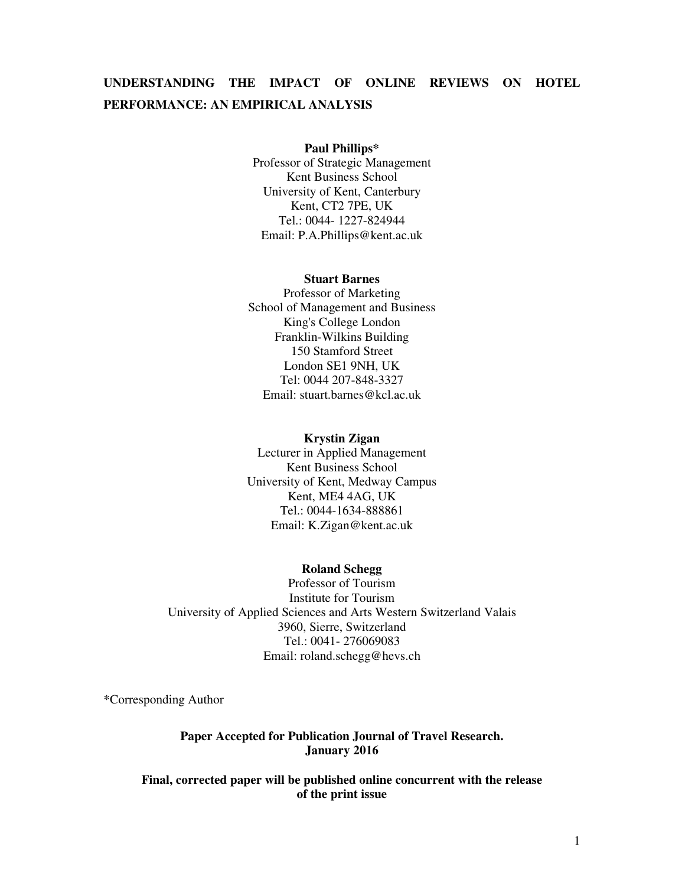# **UNDERSTANDING THE IMPACT OF ONLINE REVIEWS ON HOTEL PERFORMANCE: AN EMPIRICAL ANALYSIS**

#### **Paul Phillips\***

Professor of Strategic Management Kent Business School University of Kent, Canterbury Kent, CT2 7PE, UK Tel.: 0044- 1227-824944 Email: P.A.Phillips@kent.ac.uk

#### **Stuart Barnes**

Professor of Marketing School of Management and Business King's College London Franklin-Wilkins Building 150 Stamford Street London SE1 9NH, UK Tel: 0044 207-848-3327 Email: stuart.barnes@kcl.ac.uk

#### **Krystin Zigan**

Lecturer in Applied Management Kent Business School University of Kent, Medway Campus Kent, ME4 4AG, UK Tel.: 0044-1634-888861 Email: K.Zigan@kent.ac.uk

### **Roland Schegg**

Professor of Tourism Institute for Tourism University of Applied Sciences and Arts Western Switzerland Valais 3960, Sierre, Switzerland Tel.: 0041- 276069083 Email: roland.schegg@hevs.ch

\*Corresponding Author

### **Paper Accepted for Publication Journal of Travel Research. January 2016**

**Final, corrected paper will be published online concurrent with the release of the print issue**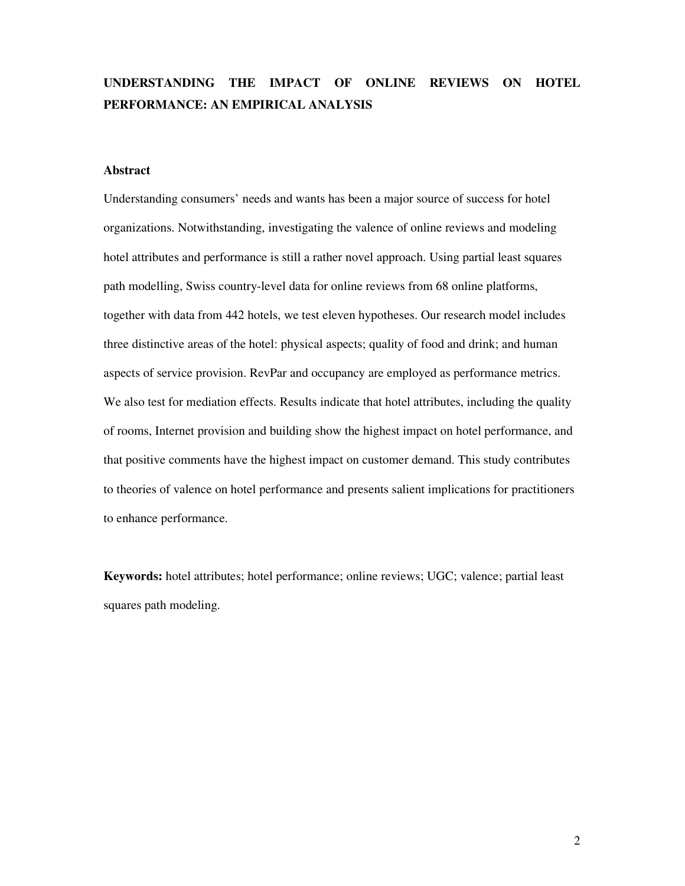# **UNDERSTANDING THE IMPACT OF ONLINE REVIEWS ON HOTEL PERFORMANCE: AN EMPIRICAL ANALYSIS**

#### **Abstract**

Understanding consumers' needs and wants has been a major source of success for hotel organizations. Notwithstanding, investigating the valence of online reviews and modeling hotel attributes and performance is still a rather novel approach. Using partial least squares path modelling, Swiss country-level data for online reviews from 68 online platforms, together with data from 442 hotels, we test eleven hypotheses. Our research model includes three distinctive areas of the hotel: physical aspects; quality of food and drink; and human aspects of service provision. RevPar and occupancy are employed as performance metrics. We also test for mediation effects. Results indicate that hotel attributes, including the quality of rooms, Internet provision and building show the highest impact on hotel performance, and that positive comments have the highest impact on customer demand. This study contributes to theories of valence on hotel performance and presents salient implications for practitioners to enhance performance.

**Keywords:** hotel attributes; hotel performance; online reviews; UGC; valence; partial least squares path modeling.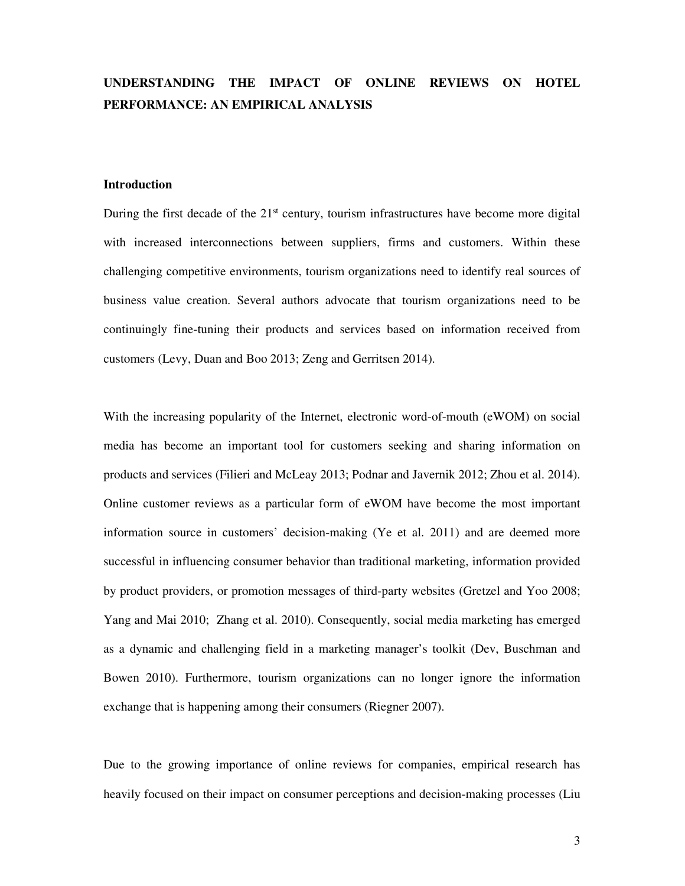# **UNDERSTANDING THE IMPACT OF ONLINE REVIEWS ON HOTEL PERFORMANCE: AN EMPIRICAL ANALYSIS**

### **Introduction**

During the first decade of the  $21<sup>st</sup>$  century, tourism infrastructures have become more digital with increased interconnections between suppliers, firms and customers. Within these challenging competitive environments, tourism organizations need to identify real sources of business value creation. Several authors advocate that tourism organizations need to be continuingly fine-tuning their products and services based on information received from customers (Levy, Duan and Boo 2013; Zeng and Gerritsen 2014).

With the increasing popularity of the Internet, electronic word-of-mouth (eWOM) on social media has become an important tool for customers seeking and sharing information on products and services (Filieri and McLeay 2013; Podnar and Javernik 2012; Zhou et al. 2014). Online customer reviews as a particular form of eWOM have become the most important information source in customers' decision-making (Ye et al. 2011) and are deemed more successful in influencing consumer behavior than traditional marketing, information provided by product providers, or promotion messages of third-party websites (Gretzel and Yoo 2008; Yang and Mai 2010; Zhang et al. 2010). Consequently, social media marketing has emerged as a dynamic and challenging field in a marketing manager's toolkit (Dev, Buschman and Bowen 2010). Furthermore, tourism organizations can no longer ignore the information exchange that is happening among their consumers (Riegner 2007).

Due to the growing importance of online reviews for companies, empirical research has heavily focused on their impact on consumer perceptions and decision-making processes (Liu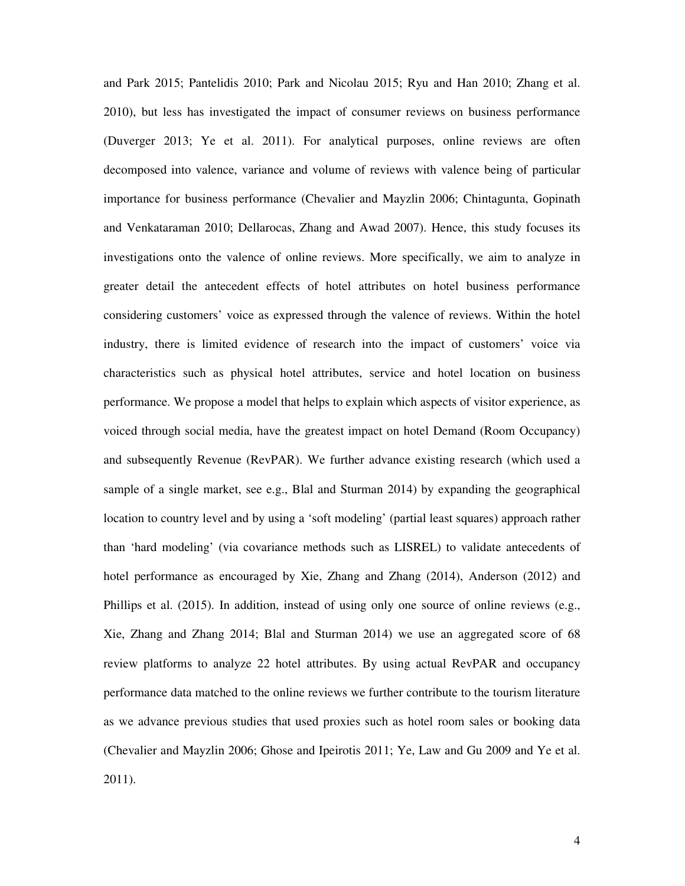and Park 2015; Pantelidis 2010; Park and Nicolau 2015; Ryu and Han 2010; Zhang et al. 2010), but less has investigated the impact of consumer reviews on business performance (Duverger 2013; Ye et al. 2011). For analytical purposes, online reviews are often decomposed into valence, variance and volume of reviews with valence being of particular importance for business performance (Chevalier and Mayzlin 2006; Chintagunta, Gopinath and Venkataraman 2010; Dellarocas, Zhang and Awad 2007). Hence, this study focuses its investigations onto the valence of online reviews. More specifically, we aim to analyze in greater detail the antecedent effects of hotel attributes on hotel business performance considering customers' voice as expressed through the valence of reviews. Within the hotel industry, there is limited evidence of research into the impact of customers' voice via characteristics such as physical hotel attributes, service and hotel location on business performance. We propose a model that helps to explain which aspects of visitor experience, as voiced through social media, have the greatest impact on hotel Demand (Room Occupancy) and subsequently Revenue (RevPAR). We further advance existing research (which used a sample of a single market, see e.g., Blal and Sturman 2014) by expanding the geographical location to country level and by using a 'soft modeling' (partial least squares) approach rather than 'hard modeling' (via covariance methods such as LISREL) to validate antecedents of hotel performance as encouraged by Xie, Zhang and Zhang (2014), Anderson (2012) and Phillips et al. (2015). In addition, instead of using only one source of online reviews (e.g., Xie, Zhang and Zhang 2014; Blal and Sturman 2014) we use an aggregated score of 68 review platforms to analyze 22 hotel attributes. By using actual RevPAR and occupancy performance data matched to the online reviews we further contribute to the tourism literature as we advance previous studies that used proxies such as hotel room sales or booking data (Chevalier and Mayzlin 2006; Ghose and Ipeirotis 2011; Ye, Law and Gu 2009 and Ye et al. 2011).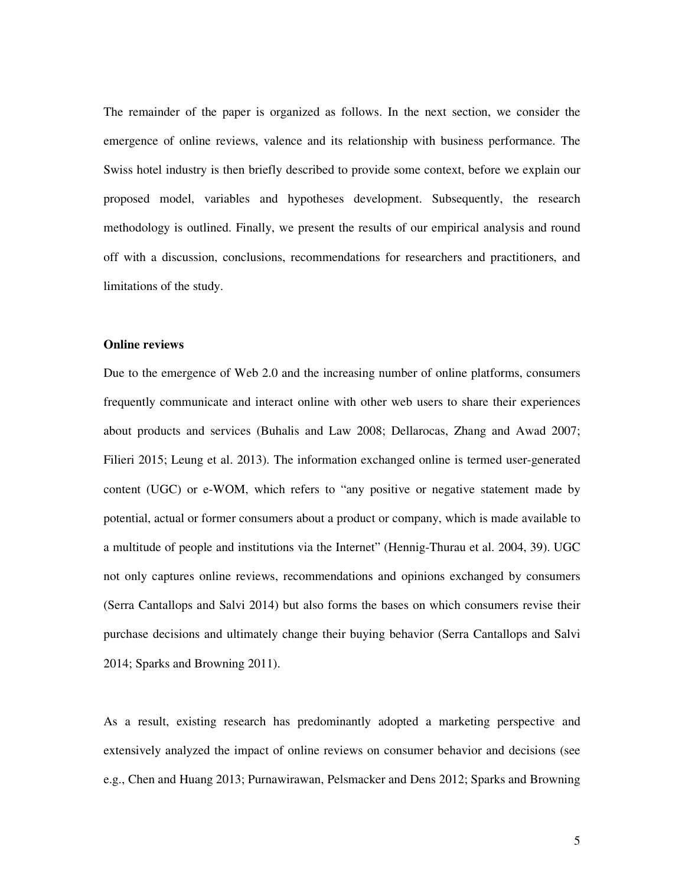The remainder of the paper is organized as follows. In the next section, we consider the emergence of online reviews, valence and its relationship with business performance. The Swiss hotel industry is then briefly described to provide some context, before we explain our proposed model, variables and hypotheses development. Subsequently, the research methodology is outlined. Finally, we present the results of our empirical analysis and round off with a discussion, conclusions, recommendations for researchers and practitioners, and limitations of the study.

#### **Online reviews**

Due to the emergence of Web 2.0 and the increasing number of online platforms, consumers frequently communicate and interact online with other web users to share their experiences about products and services (Buhalis and Law 2008; Dellarocas, Zhang and Awad 2007; Filieri 2015; Leung et al. 2013). The information exchanged online is termed user-generated content (UGC) or e-WOM, which refers to "any positive or negative statement made by potential, actual or former consumers about a product or company, which is made available to a multitude of people and institutions via the Internet" (Hennig-Thurau et al. 2004, 39). UGC not only captures online reviews, recommendations and opinions exchanged by consumers (Serra Cantallops and Salvi 2014) but also forms the bases on which consumers revise their purchase decisions and ultimately change their buying behavior (Serra Cantallops and Salvi 2014; Sparks and Browning 2011).

As a result, existing research has predominantly adopted a marketing perspective and extensively analyzed the impact of online reviews on consumer behavior and decisions (see e.g., Chen and Huang 2013; Purnawirawan, Pelsmacker and Dens 2012; Sparks and Browning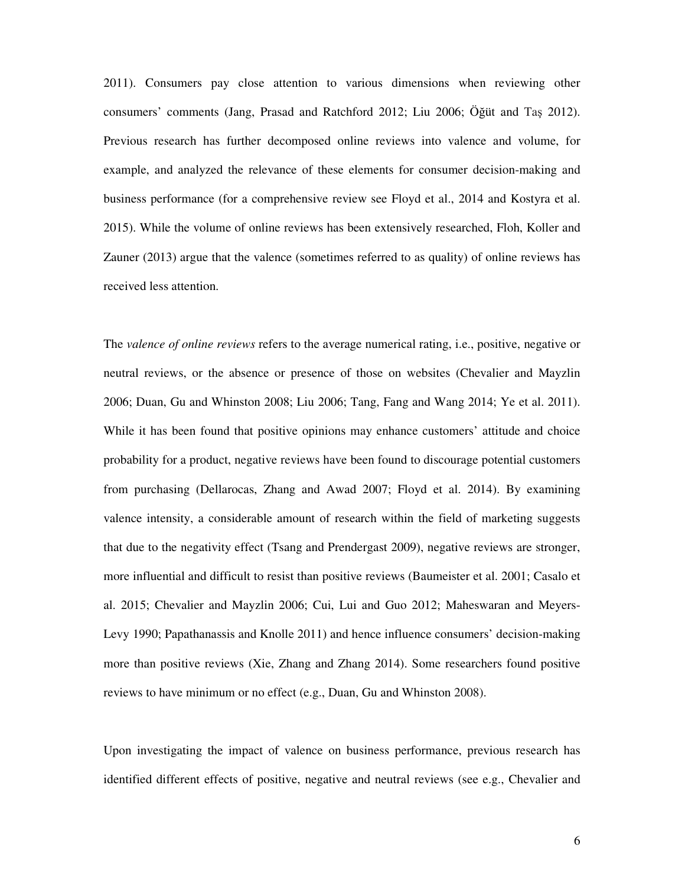2011). Consumers pay close attention to various dimensions when reviewing other consumers' comments (Jang, Prasad and Ratchford 2012; Liu 2006; Öğüt and Taş 2012). Previous research has further decomposed online reviews into valence and volume, for example, and analyzed the relevance of these elements for consumer decision-making and business performance (for a comprehensive review see Floyd et al., 2014 and Kostyra et al. 2015). While the volume of online reviews has been extensively researched, Floh, Koller and Zauner (2013) argue that the valence (sometimes referred to as quality) of online reviews has received less attention.

The *valence of online reviews* refers to the average numerical rating, i.e., positive, negative or neutral reviews, or the absence or presence of those on websites (Chevalier and Mayzlin 2006; Duan, Gu and Whinston 2008; Liu 2006; Tang, Fang and Wang 2014; Ye et al. 2011). While it has been found that positive opinions may enhance customers' attitude and choice probability for a product, negative reviews have been found to discourage potential customers from purchasing (Dellarocas, Zhang and Awad 2007; Floyd et al. 2014). By examining valence intensity, a considerable amount of research within the field of marketing suggests that due to the negativity effect (Tsang and Prendergast 2009), negative reviews are stronger, more influential and difficult to resist than positive reviews (Baumeister et al. 2001; Casalo et al. 2015; Chevalier and Mayzlin 2006; Cui, Lui and Guo 2012; Maheswaran and Meyers-Levy 1990; Papathanassis and Knolle 2011) and hence influence consumers' decision-making more than positive reviews (Xie, Zhang and Zhang 2014). Some researchers found positive reviews to have minimum or no effect (e.g., Duan, Gu and Whinston 2008).

Upon investigating the impact of valence on business performance, previous research has identified different effects of positive, negative and neutral reviews (see e.g., Chevalier and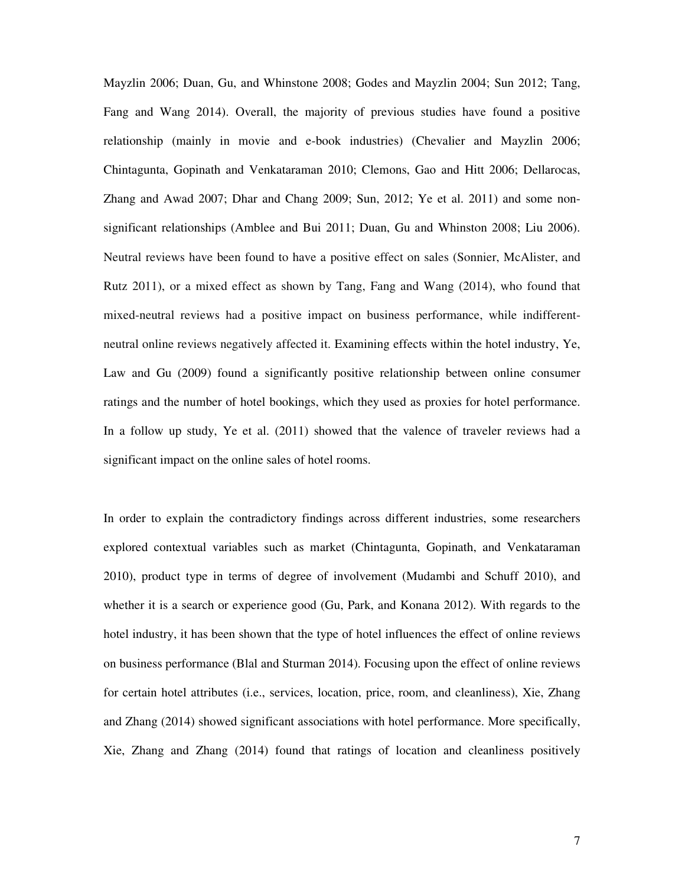Mayzlin 2006; Duan, Gu, and Whinstone 2008; Godes and Mayzlin 2004; Sun 2012; Tang, Fang and Wang 2014). Overall, the majority of previous studies have found a positive relationship (mainly in movie and e-book industries) (Chevalier and Mayzlin 2006; Chintagunta, Gopinath and Venkataraman 2010; Clemons, Gao and Hitt 2006; Dellarocas, Zhang and Awad 2007; Dhar and Chang 2009; Sun, 2012; Ye et al. 2011) and some nonsignificant relationships (Amblee and Bui 2011; Duan, Gu and Whinston 2008; Liu 2006). Neutral reviews have been found to have a positive effect on sales (Sonnier, McAlister, and Rutz 2011), or a mixed effect as shown by Tang, Fang and Wang (2014), who found that mixed-neutral reviews had a positive impact on business performance, while indifferentneutral online reviews negatively affected it. Examining effects within the hotel industry, Ye, Law and Gu (2009) found a significantly positive relationship between online consumer ratings and the number of hotel bookings, which they used as proxies for hotel performance. In a follow up study, Ye et al. (2011) showed that the valence of traveler reviews had a significant impact on the online sales of hotel rooms.

In order to explain the contradictory findings across different industries, some researchers explored contextual variables such as market (Chintagunta, Gopinath, and Venkataraman 2010), product type in terms of degree of involvement (Mudambi and Schuff 2010), and whether it is a search or experience good (Gu, Park, and Konana 2012). With regards to the hotel industry, it has been shown that the type of hotel influences the effect of online reviews on business performance (Blal and Sturman 2014). Focusing upon the effect of online reviews for certain hotel attributes (i.e., services, location, price, room, and cleanliness), Xie, Zhang and Zhang (2014) showed significant associations with hotel performance. More specifically, Xie, Zhang and Zhang (2014) found that ratings of location and cleanliness positively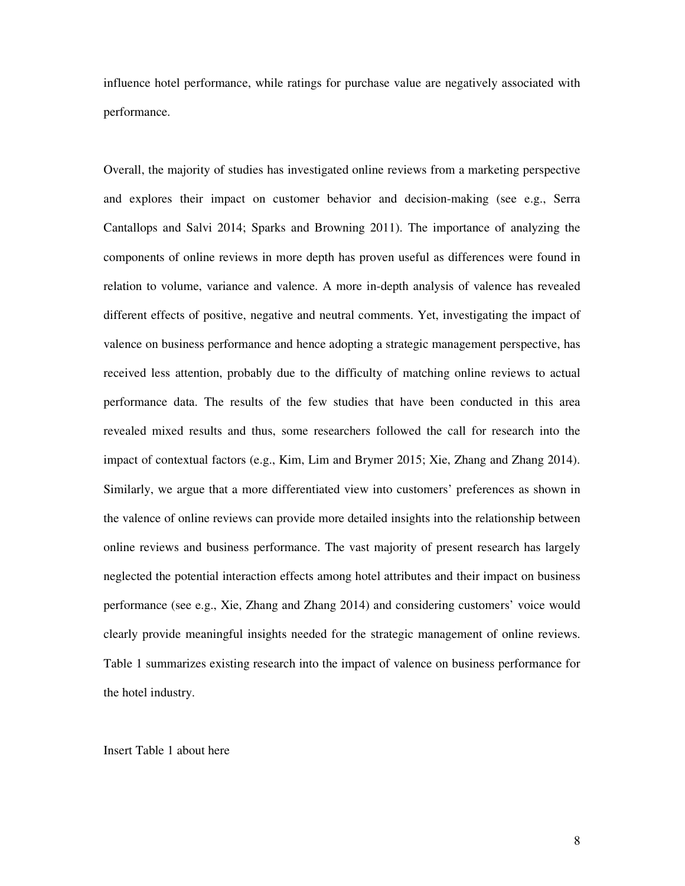influence hotel performance, while ratings for purchase value are negatively associated with performance.

Overall, the majority of studies has investigated online reviews from a marketing perspective and explores their impact on customer behavior and decision-making (see e.g., Serra Cantallops and Salvi 2014; Sparks and Browning 2011). The importance of analyzing the components of online reviews in more depth has proven useful as differences were found in relation to volume, variance and valence. A more in-depth analysis of valence has revealed different effects of positive, negative and neutral comments. Yet, investigating the impact of valence on business performance and hence adopting a strategic management perspective, has received less attention, probably due to the difficulty of matching online reviews to actual performance data. The results of the few studies that have been conducted in this area revealed mixed results and thus, some researchers followed the call for research into the impact of contextual factors (e.g., Kim, Lim and Brymer 2015; Xie, Zhang and Zhang 2014). Similarly, we argue that a more differentiated view into customers' preferences as shown in the valence of online reviews can provide more detailed insights into the relationship between online reviews and business performance. The vast majority of present research has largely neglected the potential interaction effects among hotel attributes and their impact on business performance (see e.g., Xie, Zhang and Zhang 2014) and considering customers' voice would clearly provide meaningful insights needed for the strategic management of online reviews. Table 1 summarizes existing research into the impact of valence on business performance for the hotel industry.

Insert Table 1 about here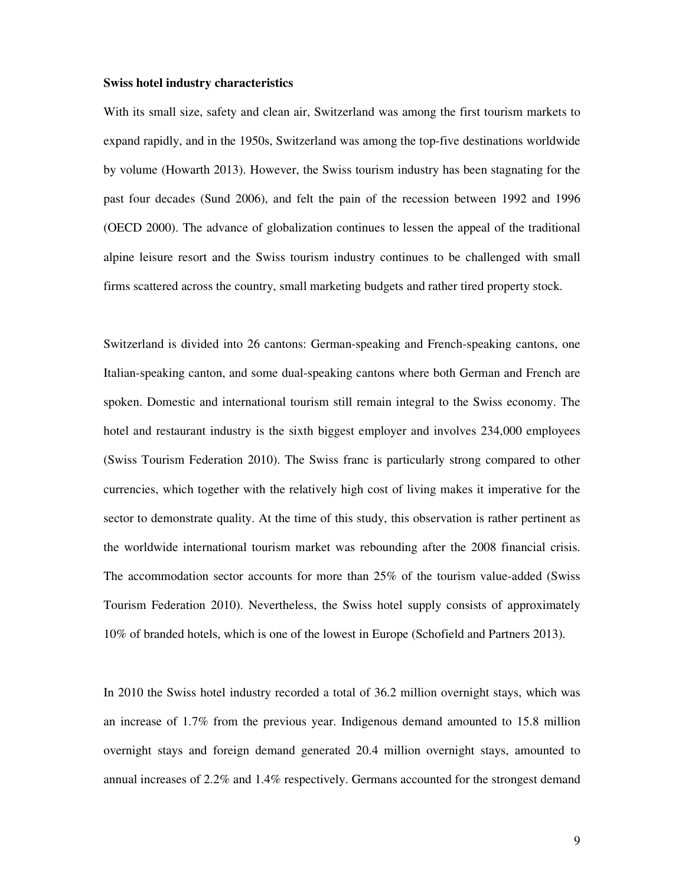#### **Swiss hotel industry characteristics**

With its small size, safety and clean air, Switzerland was among the first tourism markets to expand rapidly, and in the 1950s, Switzerland was among the top-five destinations worldwide by volume (Howarth 2013). However, the Swiss tourism industry has been stagnating for the past four decades (Sund 2006), and felt the pain of the recession between 1992 and 1996 (OECD 2000). The advance of globalization continues to lessen the appeal of the traditional alpine leisure resort and the Swiss tourism industry continues to be challenged with small firms scattered across the country, small marketing budgets and rather tired property stock.

Switzerland is divided into 26 cantons: German-speaking and French-speaking cantons, one Italian-speaking canton, and some dual-speaking cantons where both German and French are spoken. Domestic and international tourism still remain integral to the Swiss economy. The hotel and restaurant industry is the sixth biggest employer and involves 234,000 employees (Swiss Tourism Federation 2010). The Swiss franc is particularly strong compared to other currencies, which together with the relatively high cost of living makes it imperative for the sector to demonstrate quality. At the time of this study, this observation is rather pertinent as the worldwide international tourism market was rebounding after the 2008 financial crisis. The accommodation sector accounts for more than 25% of the tourism value-added (Swiss Tourism Federation 2010). Nevertheless, the Swiss hotel supply consists of approximately 10% of branded hotels, which is one of the lowest in Europe (Schofield and Partners 2013).

In 2010 the Swiss hotel industry recorded a total of 36.2 million overnight stays, which was an increase of 1.7% from the previous year. Indigenous demand amounted to 15.8 million overnight stays and foreign demand generated 20.4 million overnight stays, amounted to annual increases of 2.2% and 1.4% respectively. Germans accounted for the strongest demand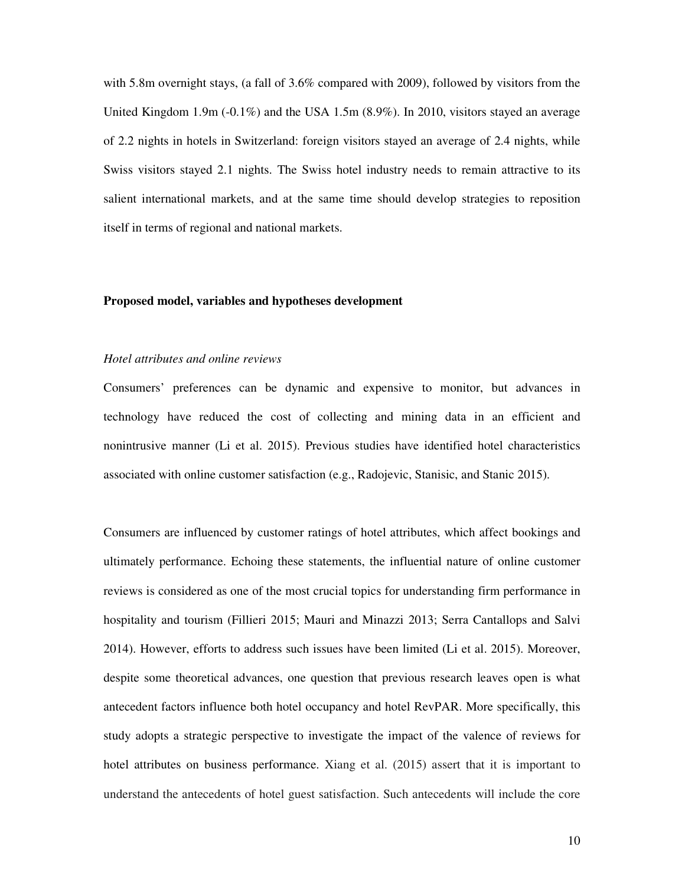with 5.8m overnight stays, (a fall of 3.6% compared with 2009), followed by visitors from the United Kingdom 1.9m ( $-0.1\%$ ) and the USA 1.5m (8.9%). In 2010, visitors stayed an average of 2.2 nights in hotels in Switzerland: foreign visitors stayed an average of 2.4 nights, while Swiss visitors stayed 2.1 nights. The Swiss hotel industry needs to remain attractive to its salient international markets, and at the same time should develop strategies to reposition itself in terms of regional and national markets.

#### **Proposed model, variables and hypotheses development**

### *Hotel attributes and online reviews*

Consumers' preferences can be dynamic and expensive to monitor, but advances in technology have reduced the cost of collecting and mining data in an efficient and nonintrusive manner (Li et al. 2015). Previous studies have identified hotel characteristics associated with online customer satisfaction (e.g., Radojevic, Stanisic, and Stanic 2015).

Consumers are influenced by customer ratings of hotel attributes, which affect bookings and ultimately performance. Echoing these statements, the influential nature of online customer reviews is considered as one of the most crucial topics for understanding firm performance in hospitality and tourism (Fillieri 2015; Mauri and Minazzi 2013; Serra Cantallops and Salvi 2014). However, efforts to address such issues have been limited (Li et al. 2015). Moreover, despite some theoretical advances, one question that previous research leaves open is what antecedent factors influence both hotel occupancy and hotel RevPAR. More specifically, this study adopts a strategic perspective to investigate the impact of the valence of reviews for hotel attributes on business performance. Xiang et al. (2015) assert that it is important to understand the antecedents of hotel guest satisfaction. Such antecedents will include the core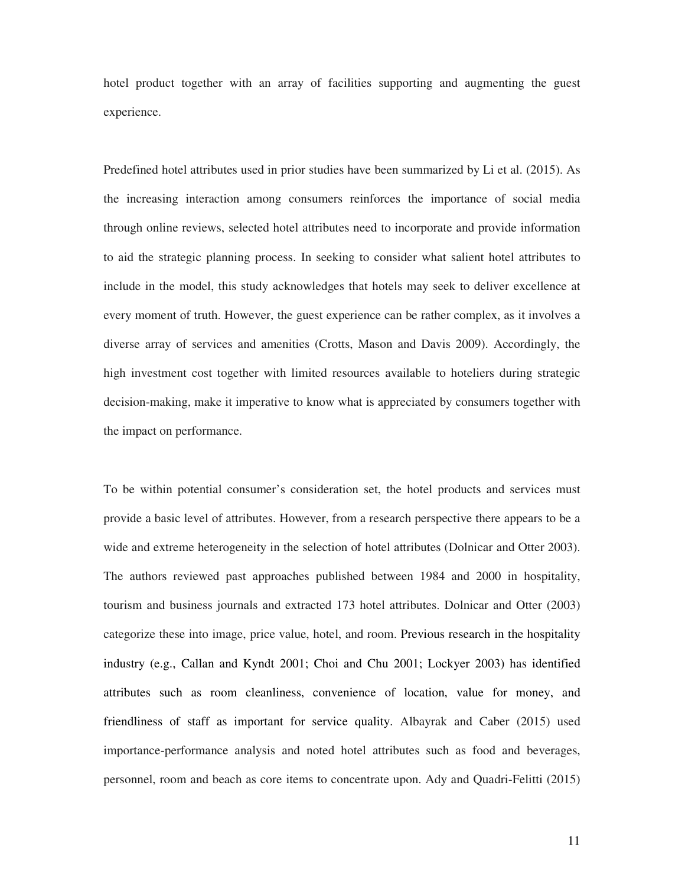hotel product together with an array of facilities supporting and augmenting the guest experience.

Predefined hotel attributes used in prior studies have been summarized by Li et al. (2015). As the increasing interaction among consumers reinforces the importance of social media through online reviews, selected hotel attributes need to incorporate and provide information to aid the strategic planning process. In seeking to consider what salient hotel attributes to include in the model, this study acknowledges that hotels may seek to deliver excellence at every moment of truth. However, the guest experience can be rather complex, as it involves a diverse array of services and amenities (Crotts, Mason and Davis 2009). Accordingly, the high investment cost together with limited resources available to hoteliers during strategic decision-making, make it imperative to know what is appreciated by consumers together with the impact on performance.

To be within potential consumer's consideration set, the hotel products and services must provide a basic level of attributes. However, from a research perspective there appears to be a wide and extreme heterogeneity in the selection of hotel attributes (Dolnicar and Otter 2003). The authors reviewed past approaches published between 1984 and 2000 in hospitality, tourism and business journals and extracted 173 hotel attributes. Dolnicar and Otter (2003) categorize these into image, price value, hotel, and room. Previous research in the hospitality industry (e.g., Callan and Kyndt 2001; Choi and Chu 2001; Lockyer 2003) has identified attributes such as room cleanliness, convenience of location, value for money, and friendliness of staff as important for service quality. Albayrak and Caber (2015) used importance-performance analysis and noted hotel attributes such as food and beverages, personnel, room and beach as core items to concentrate upon. Ady and Quadri-Felitti (2015)

11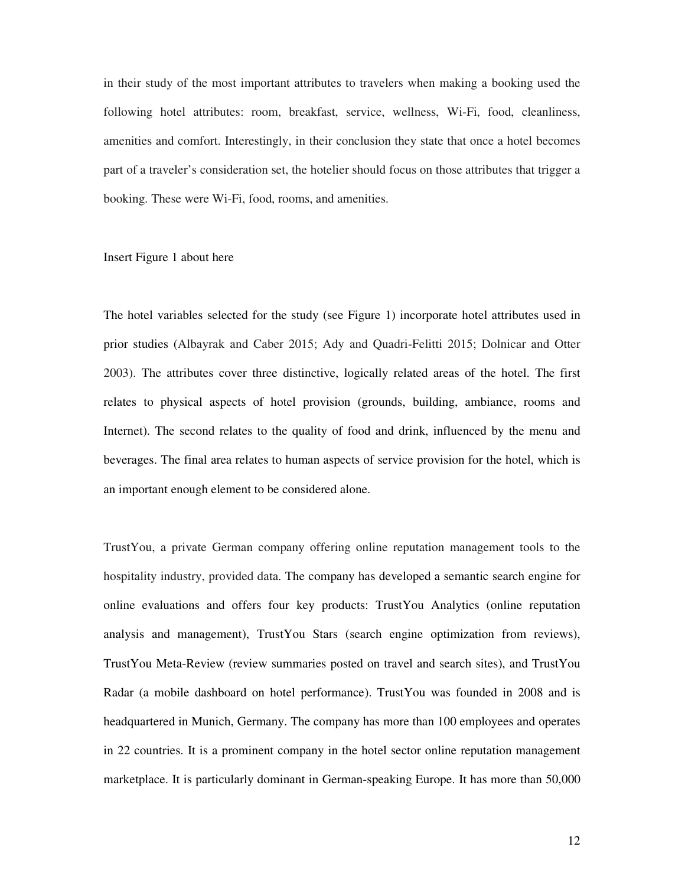in their study of the most important attributes to travelers when making a booking used the following hotel attributes: room, breakfast, service, wellness, Wi-Fi, food, cleanliness, amenities and comfort. Interestingly, in their conclusion they state that once a hotel becomes part of a traveler's consideration set, the hotelier should focus on those attributes that trigger a booking. These were Wi-Fi, food, rooms, and amenities.

#### Insert Figure 1 about here

The hotel variables selected for the study (see Figure 1) incorporate hotel attributes used in prior studies (Albayrak and Caber 2015; Ady and Quadri-Felitti 2015; Dolnicar and Otter 2003). The attributes cover three distinctive, logically related areas of the hotel. The first relates to physical aspects of hotel provision (grounds, building, ambiance, rooms and Internet). The second relates to the quality of food and drink, influenced by the menu and beverages. The final area relates to human aspects of service provision for the hotel, which is an important enough element to be considered alone.

TrustYou, a private German company offering online reputation management tools to the hospitality industry, provided data. The company has developed a semantic search engine for online evaluations and offers four key products: TrustYou Analytics (online reputation analysis and management), TrustYou Stars (search engine optimization from reviews), TrustYou Meta-Review (review summaries posted on travel and search sites), and TrustYou Radar (a mobile dashboard on hotel performance). TrustYou was founded in 2008 and is headquartered in Munich, Germany. The company has more than 100 employees and operates in 22 countries. It is a prominent company in the hotel sector online reputation management marketplace. It is particularly dominant in German-speaking Europe. It has more than 50,000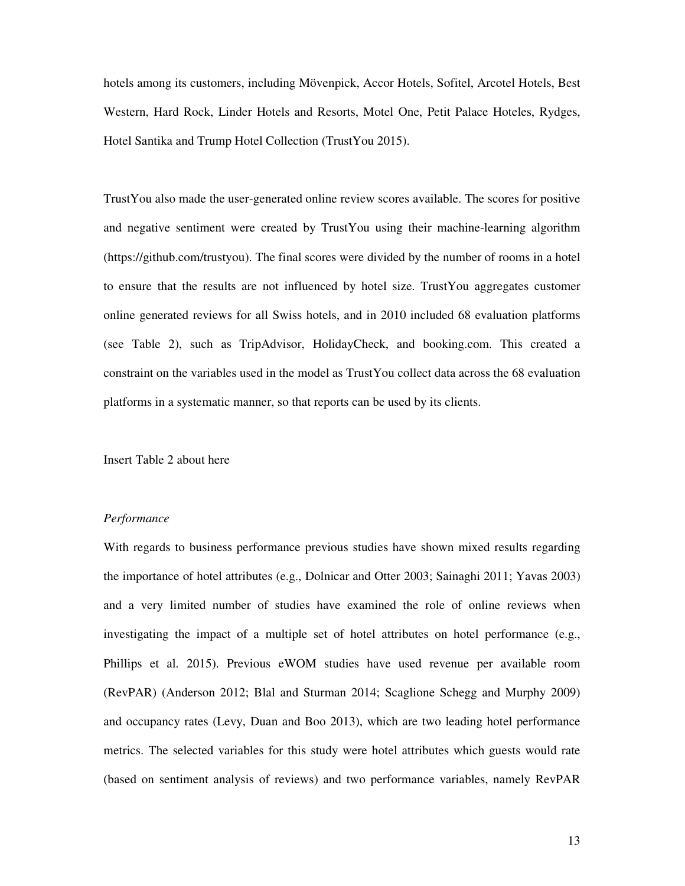hotels among its customers, including Mövenpick, Accor Hotels, Sofitel, Arcotel Hotels, Best Western, Hard Rock, Linder Hotels and Resorts, Motel One, Petit Palace Hoteles, Rydges, Hotel Santika and Trump Hotel Collection (TrustYou 2015).

TrustYou also made the user-generated online review scores available. The scores for positive and negative sentiment were created by TrustYou using their machine-learning algorithm (https://github.com/trustyou). The final scores were divided by the number of rooms in a hotel to ensure that the results are not influenced by hotel size. TrustYou aggregates customer online generated reviews for all Swiss hotels, and in 2010 included 68 evaluation platforms (see Table 2), such as TripAdvisor, HolidayCheck, and booking.com. This created a constraint on the variables used in the model as TrustYou collect data across the 68 evaluation platforms in a systematic manner, so that reports can be used by its clients.

Insert Table 2 about here

#### *Performance*

With regards to business performance previous studies have shown mixed results regarding the importance of hotel attributes (e.g., Dolnicar and Otter 2003; Sainaghi 2011; Yavas 2003) and a very limited number of studies have examined the role of online reviews when investigating the impact of a multiple set of hotel attributes on hotel performance (e.g., Phillips et al. 2015). Previous eWOM studies have used revenue per available room (RevPAR) (Anderson 2012; Blal and Sturman 2014; Scaglione Schegg and Murphy 2009) and occupancy rates (Levy, Duan and Boo 2013), which are two leading hotel performance metrics. The selected variables for this study were hotel attributes which guests would rate (based on sentiment analysis of reviews) and two performance variables, namely RevPAR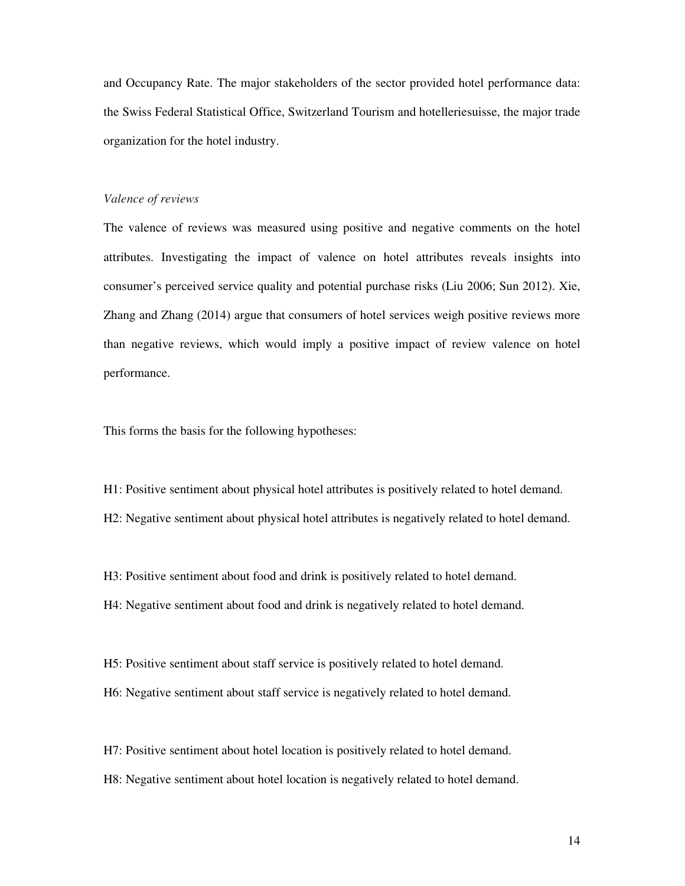and Occupancy Rate. The major stakeholders of the sector provided hotel performance data: the Swiss Federal Statistical Office, Switzerland Tourism and hotelleriesuisse, the major trade organization for the hotel industry.

#### *Valence of reviews*

The valence of reviews was measured using positive and negative comments on the hotel attributes. Investigating the impact of valence on hotel attributes reveals insights into consumer's perceived service quality and potential purchase risks (Liu 2006; Sun 2012). Xie, Zhang and Zhang (2014) argue that consumers of hotel services weigh positive reviews more than negative reviews, which would imply a positive impact of review valence on hotel performance.

This forms the basis for the following hypotheses:

H1: Positive sentiment about physical hotel attributes is positively related to hotel demand.

H2: Negative sentiment about physical hotel attributes is negatively related to hotel demand.

H3: Positive sentiment about food and drink is positively related to hotel demand.

H4: Negative sentiment about food and drink is negatively related to hotel demand.

H5: Positive sentiment about staff service is positively related to hotel demand.

H6: Negative sentiment about staff service is negatively related to hotel demand.

H7: Positive sentiment about hotel location is positively related to hotel demand.

H8: Negative sentiment about hotel location is negatively related to hotel demand.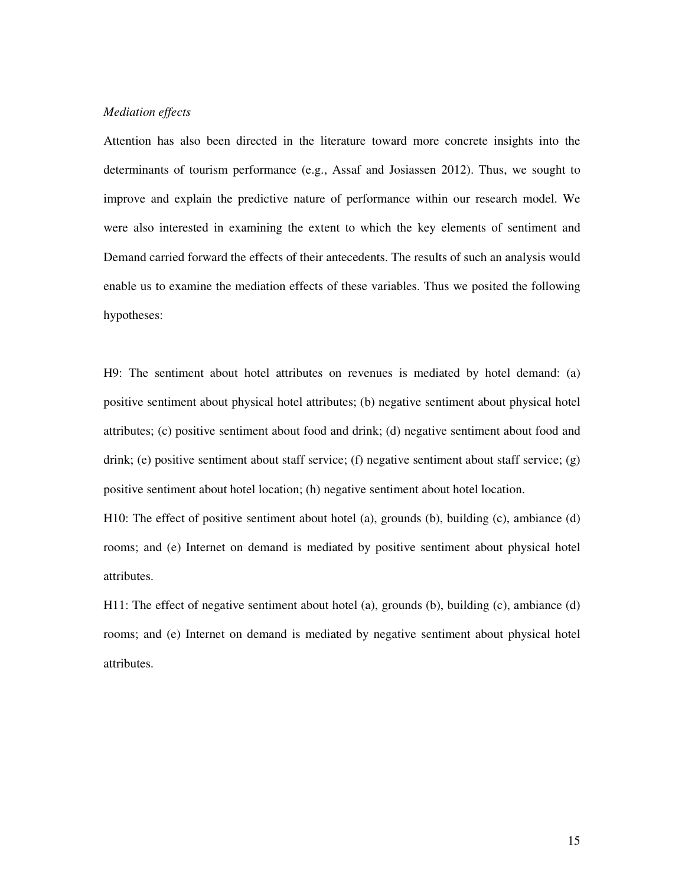#### *Mediation effects*

Attention has also been directed in the literature toward more concrete insights into the determinants of tourism performance (e.g., Assaf and Josiassen 2012). Thus, we sought to improve and explain the predictive nature of performance within our research model. We were also interested in examining the extent to which the key elements of sentiment and Demand carried forward the effects of their antecedents. The results of such an analysis would enable us to examine the mediation effects of these variables. Thus we posited the following hypotheses:

H9: The sentiment about hotel attributes on revenues is mediated by hotel demand: (a) positive sentiment about physical hotel attributes; (b) negative sentiment about physical hotel attributes; (c) positive sentiment about food and drink; (d) negative sentiment about food and drink; (e) positive sentiment about staff service; (f) negative sentiment about staff service; (g) positive sentiment about hotel location; (h) negative sentiment about hotel location.

H10: The effect of positive sentiment about hotel (a), grounds (b), building (c), ambiance (d) rooms; and (e) Internet on demand is mediated by positive sentiment about physical hotel attributes.

H11: The effect of negative sentiment about hotel (a), grounds (b), building (c), ambiance (d) rooms; and (e) Internet on demand is mediated by negative sentiment about physical hotel attributes.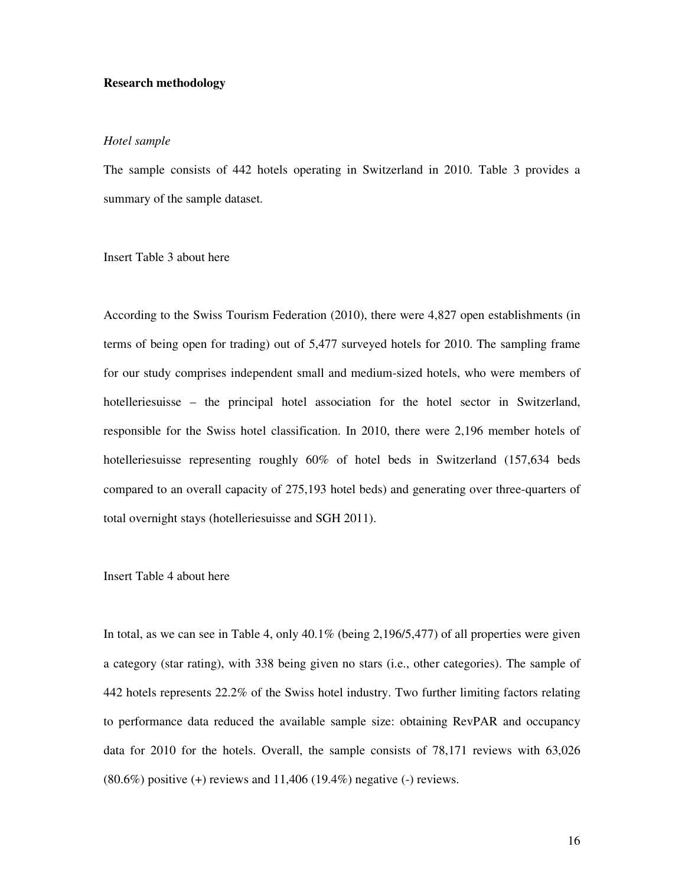#### **Research methodology**

#### *Hotel sample*

The sample consists of 442 hotels operating in Switzerland in 2010. Table 3 provides a summary of the sample dataset.

Insert Table 3 about here

According to the Swiss Tourism Federation (2010), there were 4,827 open establishments (in terms of being open for trading) out of 5,477 surveyed hotels for 2010. The sampling frame for our study comprises independent small and medium-sized hotels, who were members of hotelleriesuisse – the principal hotel association for the hotel sector in Switzerland, responsible for the Swiss hotel classification. In 2010, there were 2,196 member hotels of hotelleriesuisse representing roughly 60% of hotel beds in Switzerland (157,634 beds compared to an overall capacity of 275,193 hotel beds) and generating over three-quarters of total overnight stays (hotelleriesuisse and SGH 2011).

#### Insert Table 4 about here

In total, as we can see in Table 4, only 40.1% (being 2,196/5,477) of all properties were given a category (star rating), with 338 being given no stars (i.e., other categories). The sample of 442 hotels represents 22.2% of the Swiss hotel industry. Two further limiting factors relating to performance data reduced the available sample size: obtaining RevPAR and occupancy data for 2010 for the hotels. Overall, the sample consists of 78,171 reviews with 63,026  $(80.6\%)$  positive  $(+)$  reviews and  $11,406$   $(19.4\%)$  negative  $(-)$  reviews.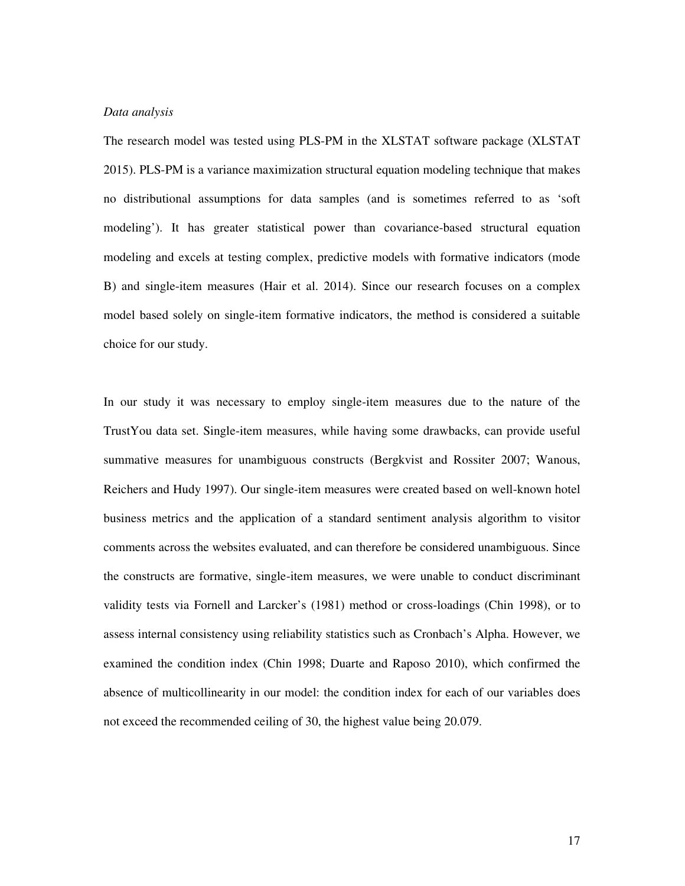#### *Data analysis*

The research model was tested using PLS-PM in the XLSTAT software package (XLSTAT 2015). PLS-PM is a variance maximization structural equation modeling technique that makes no distributional assumptions for data samples (and is sometimes referred to as 'soft modeling'). It has greater statistical power than covariance-based structural equation modeling and excels at testing complex, predictive models with formative indicators (mode B) and single-item measures (Hair et al. 2014). Since our research focuses on a complex model based solely on single-item formative indicators, the method is considered a suitable choice for our study.

In our study it was necessary to employ single-item measures due to the nature of the TrustYou data set. Single-item measures, while having some drawbacks, can provide useful summative measures for unambiguous constructs (Bergkvist and Rossiter 2007; Wanous, Reichers and Hudy 1997). Our single-item measures were created based on well-known hotel business metrics and the application of a standard sentiment analysis algorithm to visitor comments across the websites evaluated, and can therefore be considered unambiguous. Since the constructs are formative, single-item measures, we were unable to conduct discriminant validity tests via Fornell and Larcker's (1981) method or cross-loadings (Chin 1998), or to assess internal consistency using reliability statistics such as Cronbach's Alpha. However, we examined the condition index (Chin 1998; Duarte and Raposo 2010), which confirmed the absence of multicollinearity in our model: the condition index for each of our variables does not exceed the recommended ceiling of 30, the highest value being 20.079.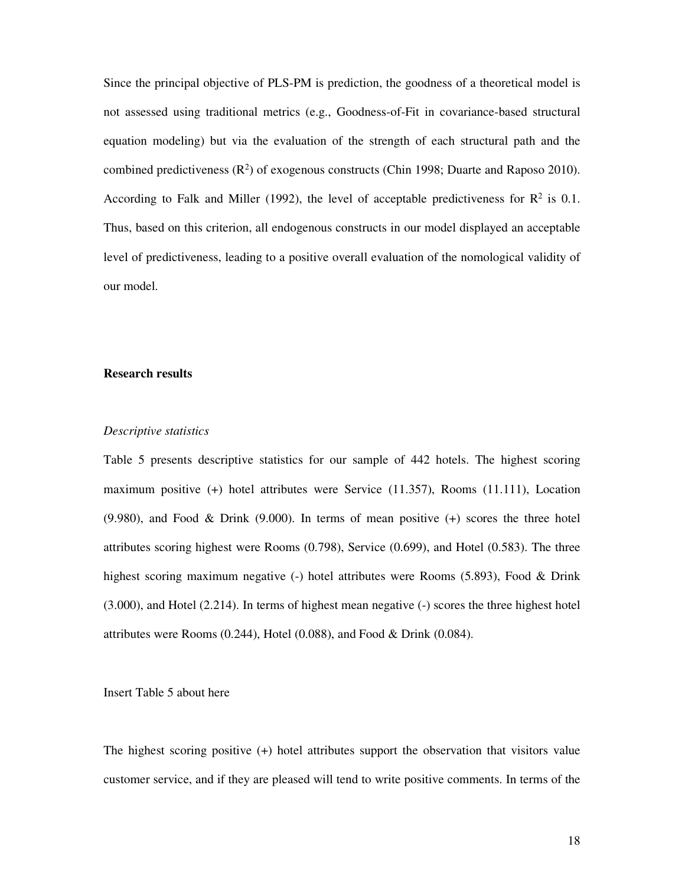Since the principal objective of PLS-PM is prediction, the goodness of a theoretical model is not assessed using traditional metrics (e.g., Goodness-of-Fit in covariance-based structural equation modeling) but via the evaluation of the strength of each structural path and the combined predictiveness  $(R^2)$  of exogenous constructs (Chin 1998; Duarte and Raposo 2010). According to Falk and Miller (1992), the level of acceptable predictiveness for  $\mathbb{R}^2$  is 0.1. Thus, based on this criterion, all endogenous constructs in our model displayed an acceptable level of predictiveness, leading to a positive overall evaluation of the nomological validity of our model.

#### **Research results**

#### *Descriptive statistics*

Table 5 presents descriptive statistics for our sample of 442 hotels. The highest scoring maximum positive (+) hotel attributes were Service (11.357), Rooms (11.111), Location (9.980), and Food & Drink (9.000). In terms of mean positive (+) scores the three hotel attributes scoring highest were Rooms (0.798), Service (0.699), and Hotel (0.583). The three highest scoring maximum negative (-) hotel attributes were Rooms (5.893), Food & Drink (3.000), and Hotel (2.214). In terms of highest mean negative (-) scores the three highest hotel attributes were Rooms (0.244), Hotel (0.088), and Food & Drink (0.084).

Insert Table 5 about here

The highest scoring positive (+) hotel attributes support the observation that visitors value customer service, and if they are pleased will tend to write positive comments. In terms of the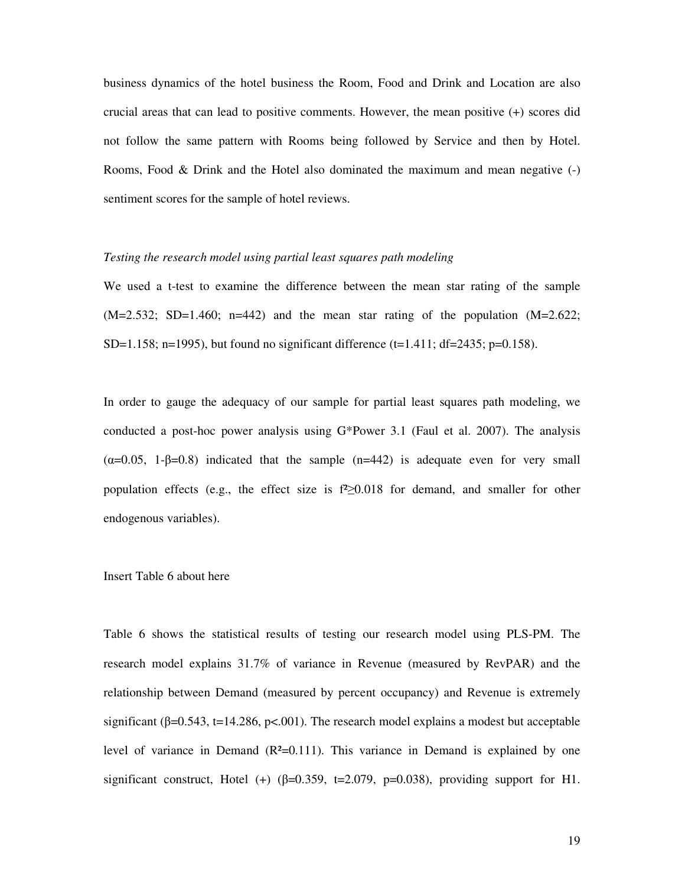business dynamics of the hotel business the Room, Food and Drink and Location are also crucial areas that can lead to positive comments. However, the mean positive (+) scores did not follow the same pattern with Rooms being followed by Service and then by Hotel. Rooms, Food & Drink and the Hotel also dominated the maximum and mean negative (-) sentiment scores for the sample of hotel reviews.

#### *Testing the research model using partial least squares path modeling*

We used a t-test to examine the difference between the mean star rating of the sample  $(M=2.532; SD=1.460; n=442)$  and the mean star rating of the population  $(M=2.622;$ SD=1.158; n=1995), but found no significant difference (t=1.411; df=2435; p=0.158).

In order to gauge the adequacy of our sample for partial least squares path modeling, we conducted a post-hoc power analysis using G\*Power 3.1 (Faul et al. 2007). The analysis  $(\alpha=0.05, 1-\beta=0.8)$  indicated that the sample  $(n=442)$  is adequate even for very small population effects (e.g., the effect size is f²≥0.018 for demand, and smaller for other endogenous variables).

#### Insert Table 6 about here

Table 6 shows the statistical results of testing our research model using PLS-PM. The research model explains 31.7% of variance in Revenue (measured by RevPAR) and the relationship between Demand (measured by percent occupancy) and Revenue is extremely significant ( $\beta$ =0.543, t=14.286, p<.001). The research model explains a modest but acceptable level of variance in Demand  $(R<sup>2</sup>=0.111)$ . This variance in Demand is explained by one significant construct, Hotel (+) ( $\beta$ =0.359, t=2.079, p=0.038), providing support for H1.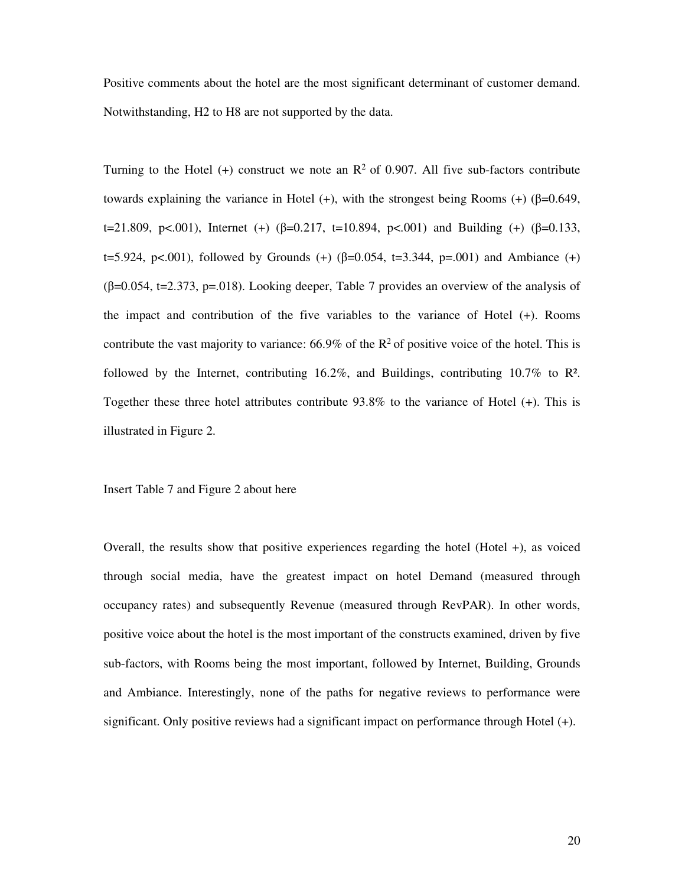Positive comments about the hotel are the most significant determinant of customer demand. Notwithstanding, H2 to H8 are not supported by the data.

Turning to the Hotel (+) construct we note an  $\mathbb{R}^2$  of 0.907. All five sub-factors contribute towards explaining the variance in Hotel (+), with the strongest being Rooms (+) ( $\beta$ =0.649, t=21.809, p<.001), Internet (+) ( $\beta$ =0.217, t=10.894, p<.001) and Building (+) ( $\beta$ =0.133, t=5.924, p<.001), followed by Grounds (+) ( $\beta$ =0.054, t=3.344, p=.001) and Ambiance (+)  $(\beta=0.054, t=2.373, p=.018)$ . Looking deeper, Table 7 provides an overview of the analysis of the impact and contribution of the five variables to the variance of Hotel (+). Rooms contribute the vast majority to variance:  $66.9\%$  of the R<sup>2</sup> of positive voice of the hotel. This is followed by the Internet, contributing 16.2%, and Buildings, contributing 10.7% to R². Together these three hotel attributes contribute 93.8% to the variance of Hotel (+). This is illustrated in Figure 2.

Insert Table 7 and Figure 2 about here

Overall, the results show that positive experiences regarding the hotel (Hotel +), as voiced through social media, have the greatest impact on hotel Demand (measured through occupancy rates) and subsequently Revenue (measured through RevPAR). In other words, positive voice about the hotel is the most important of the constructs examined, driven by five sub-factors, with Rooms being the most important, followed by Internet, Building, Grounds and Ambiance. Interestingly, none of the paths for negative reviews to performance were significant. Only positive reviews had a significant impact on performance through Hotel (+).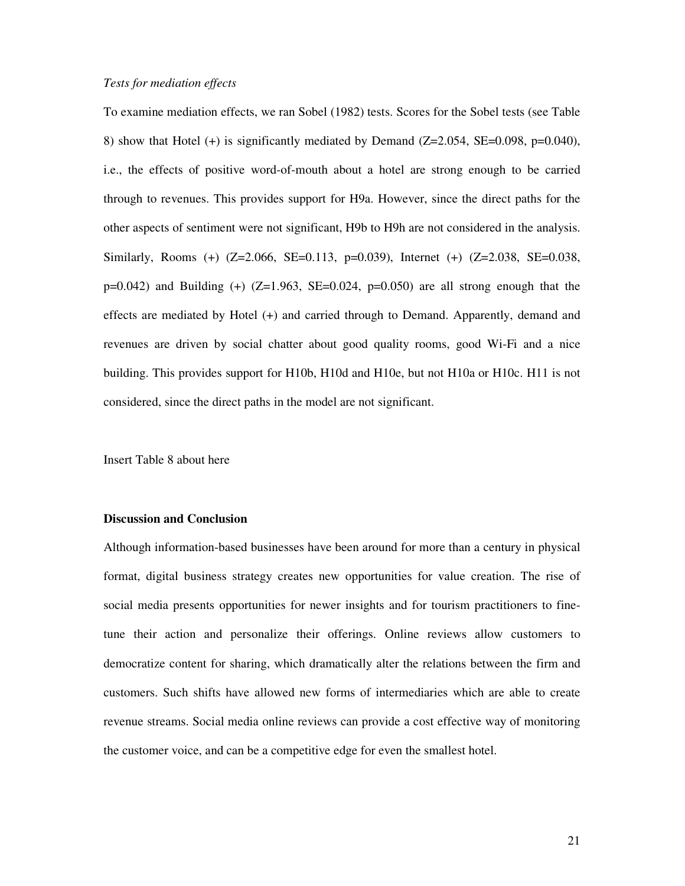#### *Tests for mediation effects*

To examine mediation effects, we ran Sobel (1982) tests. Scores for the Sobel tests (see Table 8) show that Hotel  $(+)$  is significantly mediated by Demand  $(Z=2.054, SE=0.098, p=0.040)$ , i.e., the effects of positive word-of-mouth about a hotel are strong enough to be carried through to revenues. This provides support for H9a. However, since the direct paths for the other aspects of sentiment were not significant, H9b to H9h are not considered in the analysis. Similarly, Rooms (+) (Z=2.066, SE=0.113, p=0.039), Internet (+) (Z=2.038, SE=0.038,  $p=0.042$ ) and Building (+) (Z=1.963, SE=0.024,  $p=0.050$ ) are all strong enough that the effects are mediated by Hotel (+) and carried through to Demand. Apparently, demand and revenues are driven by social chatter about good quality rooms, good Wi-Fi and a nice building. This provides support for H10b, H10d and H10e, but not H10a or H10c. H11 is not considered, since the direct paths in the model are not significant.

Insert Table 8 about here

### **Discussion and Conclusion**

Although information-based businesses have been around for more than a century in physical format, digital business strategy creates new opportunities for value creation. The rise of social media presents opportunities for newer insights and for tourism practitioners to finetune their action and personalize their offerings. Online reviews allow customers to democratize content for sharing, which dramatically alter the relations between the firm and customers. Such shifts have allowed new forms of intermediaries which are able to create revenue streams. Social media online reviews can provide a cost effective way of monitoring the customer voice, and can be a competitive edge for even the smallest hotel.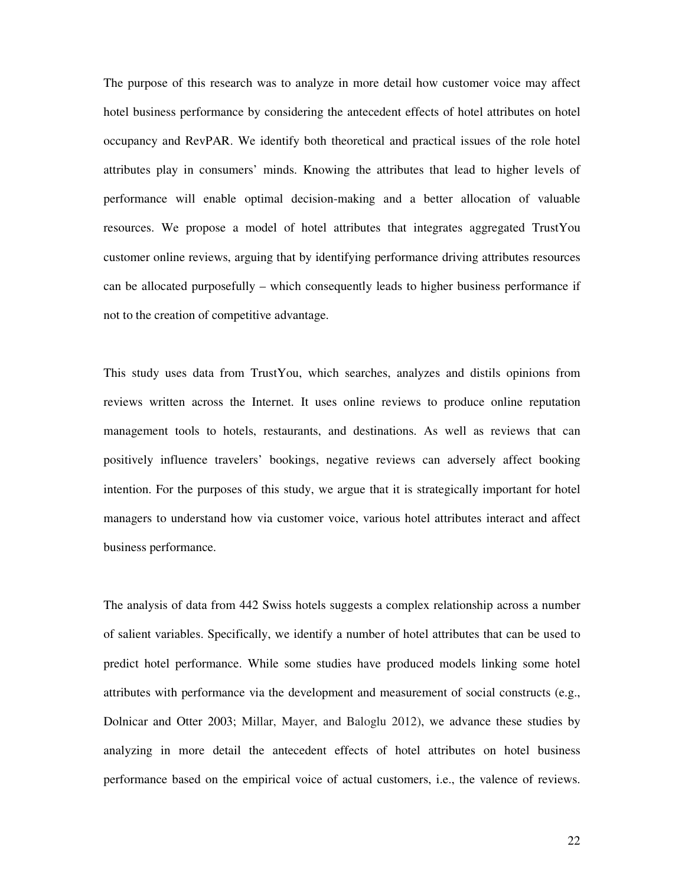The purpose of this research was to analyze in more detail how customer voice may affect hotel business performance by considering the antecedent effects of hotel attributes on hotel occupancy and RevPAR. We identify both theoretical and practical issues of the role hotel attributes play in consumers' minds. Knowing the attributes that lead to higher levels of performance will enable optimal decision-making and a better allocation of valuable resources. We propose a model of hotel attributes that integrates aggregated TrustYou customer online reviews, arguing that by identifying performance driving attributes resources can be allocated purposefully – which consequently leads to higher business performance if not to the creation of competitive advantage.

This study uses data from TrustYou, which searches, analyzes and distils opinions from reviews written across the Internet. It uses online reviews to produce online reputation management tools to hotels, restaurants, and destinations. As well as reviews that can positively influence travelers' bookings, negative reviews can adversely affect booking intention. For the purposes of this study, we argue that it is strategically important for hotel managers to understand how via customer voice, various hotel attributes interact and affect business performance.

The analysis of data from 442 Swiss hotels suggests a complex relationship across a number of salient variables. Specifically, we identify a number of hotel attributes that can be used to predict hotel performance. While some studies have produced models linking some hotel attributes with performance via the development and measurement of social constructs (e.g., Dolnicar and Otter 2003; Millar, Mayer, and Baloglu 2012), we advance these studies by analyzing in more detail the antecedent effects of hotel attributes on hotel business performance based on the empirical voice of actual customers, i.e., the valence of reviews.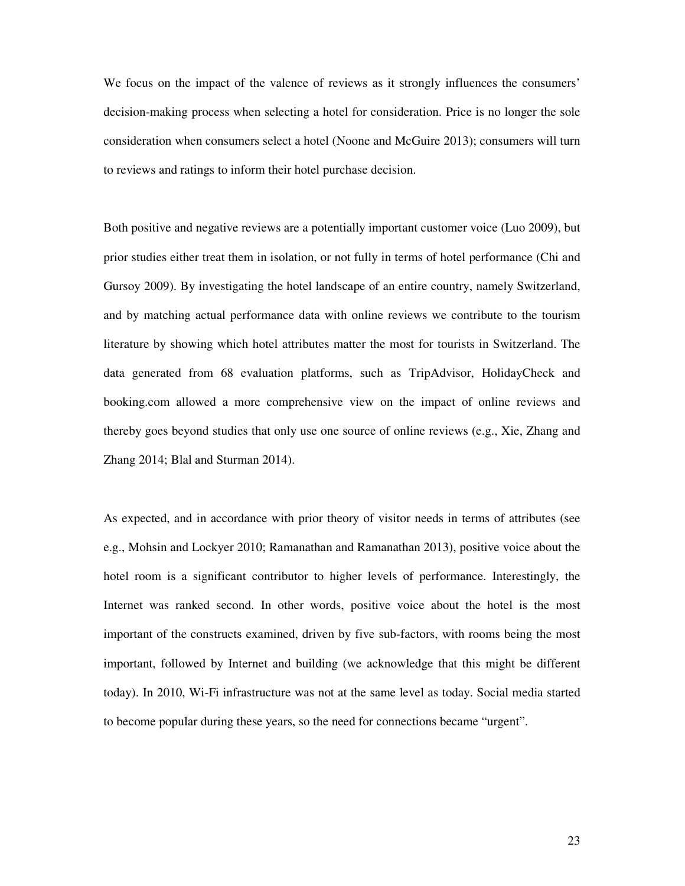We focus on the impact of the valence of reviews as it strongly influences the consumers' decision-making process when selecting a hotel for consideration. Price is no longer the sole consideration when consumers select a hotel (Noone and McGuire 2013); consumers will turn to reviews and ratings to inform their hotel purchase decision.

Both positive and negative reviews are a potentially important customer voice (Luo 2009), but prior studies either treat them in isolation, or not fully in terms of hotel performance (Chi and Gursoy 2009). By investigating the hotel landscape of an entire country, namely Switzerland, and by matching actual performance data with online reviews we contribute to the tourism literature by showing which hotel attributes matter the most for tourists in Switzerland. The data generated from 68 evaluation platforms, such as TripAdvisor, HolidayCheck and booking.com allowed a more comprehensive view on the impact of online reviews and thereby goes beyond studies that only use one source of online reviews (e.g., Xie, Zhang and Zhang 2014; Blal and Sturman 2014).

As expected, and in accordance with prior theory of visitor needs in terms of attributes (see e.g., Mohsin and Lockyer 2010; Ramanathan and Ramanathan 2013), positive voice about the hotel room is a significant contributor to higher levels of performance. Interestingly, the Internet was ranked second. In other words, positive voice about the hotel is the most important of the constructs examined, driven by five sub-factors, with rooms being the most important, followed by Internet and building (we acknowledge that this might be different today). In 2010, Wi-Fi infrastructure was not at the same level as today. Social media started to become popular during these years, so the need for connections became "urgent".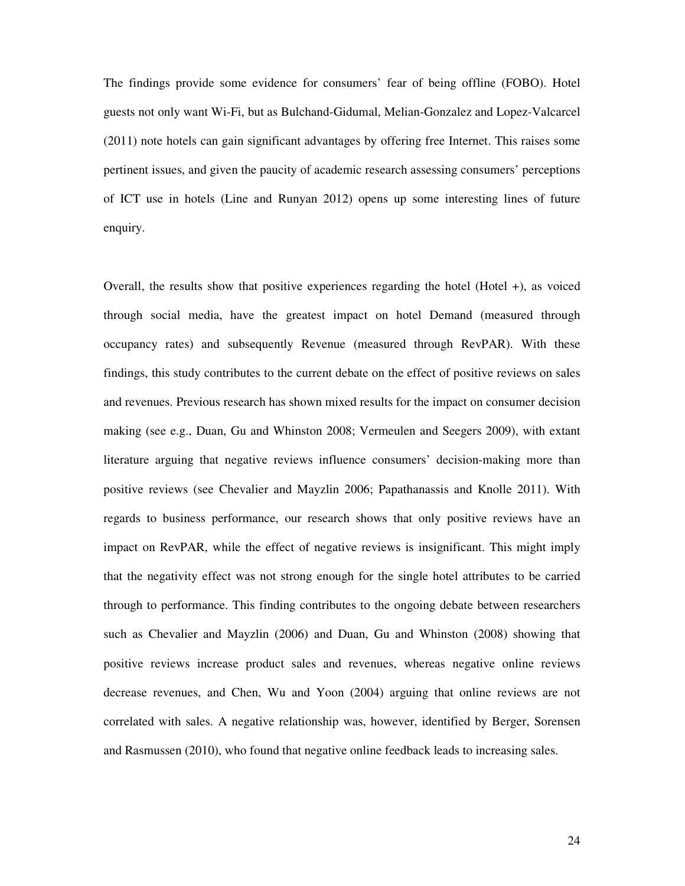The findings provide some evidence for consumers' fear of being offline (FOBO). Hotel guests not only want Wi-Fi, but as Bulchand-Gidumal, Melian-Gonzalez and Lopez-Valcarcel (2011) note hotels can gain significant advantages by offering free Internet. This raises some pertinent issues, and given the paucity of academic research assessing consumers' perceptions of ICT use in hotels (Line and Runyan 2012) opens up some interesting lines of future enquiry.

Overall, the results show that positive experiences regarding the hotel (Hotel +), as voiced through social media, have the greatest impact on hotel Demand (measured through occupancy rates) and subsequently Revenue (measured through RevPAR). With these findings, this study contributes to the current debate on the effect of positive reviews on sales and revenues. Previous research has shown mixed results for the impact on consumer decision making (see e.g., Duan, Gu and Whinston 2008; Vermeulen and Seegers 2009), with extant literature arguing that negative reviews influence consumers' decision-making more than positive reviews (see Chevalier and Mayzlin 2006; Papathanassis and Knolle 2011). With regards to business performance, our research shows that only positive reviews have an impact on RevPAR, while the effect of negative reviews is insignificant. This might imply that the negativity effect was not strong enough for the single hotel attributes to be carried through to performance. This finding contributes to the ongoing debate between researchers such as Chevalier and Mayzlin (2006) and Duan, Gu and Whinston (2008) showing that positive reviews increase product sales and revenues, whereas negative online reviews decrease revenues, and Chen, Wu and Yoon (2004) arguing that online reviews are not correlated with sales. A negative relationship was, however, identified by Berger, Sorensen and Rasmussen (2010), who found that negative online feedback leads to increasing sales.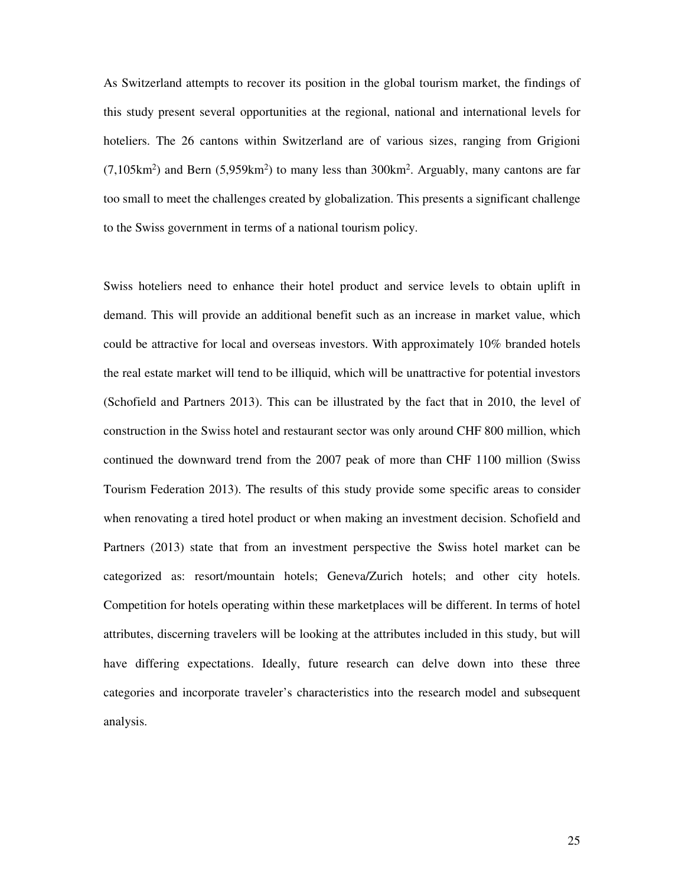As Switzerland attempts to recover its position in the global tourism market, the findings of this study present several opportunities at the regional, national and international levels for hoteliers. The 26 cantons within Switzerland are of various sizes, ranging from Grigioni  $(7,105km^2)$  and Bern  $(5,959km^2)$  to many less than 300km<sup>2</sup>. Arguably, many cantons are far too small to meet the challenges created by globalization. This presents a significant challenge to the Swiss government in terms of a national tourism policy.

Swiss hoteliers need to enhance their hotel product and service levels to obtain uplift in demand. This will provide an additional benefit such as an increase in market value, which could be attractive for local and overseas investors. With approximately 10% branded hotels the real estate market will tend to be illiquid, which will be unattractive for potential investors (Schofield and Partners 2013). This can be illustrated by the fact that in 2010, the level of construction in the Swiss hotel and restaurant sector was only around CHF 800 million, which continued the downward trend from the 2007 peak of more than CHF 1100 million (Swiss Tourism Federation 2013). The results of this study provide some specific areas to consider when renovating a tired hotel product or when making an investment decision. Schofield and Partners (2013) state that from an investment perspective the Swiss hotel market can be categorized as: resort/mountain hotels; Geneva/Zurich hotels; and other city hotels. Competition for hotels operating within these marketplaces will be different. In terms of hotel attributes, discerning travelers will be looking at the attributes included in this study, but will have differing expectations. Ideally, future research can delve down into these three categories and incorporate traveler's characteristics into the research model and subsequent analysis.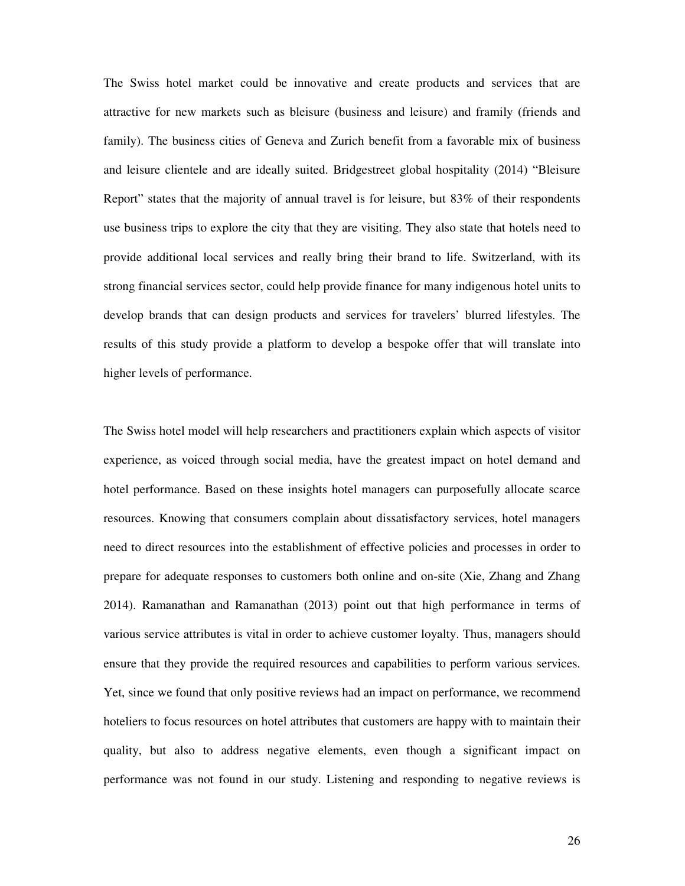The Swiss hotel market could be innovative and create products and services that are attractive for new markets such as bleisure (business and leisure) and framily (friends and family). The business cities of Geneva and Zurich benefit from a favorable mix of business and leisure clientele and are ideally suited. Bridgestreet global hospitality (2014) "Bleisure Report" states that the majority of annual travel is for leisure, but 83% of their respondents use business trips to explore the city that they are visiting. They also state that hotels need to provide additional local services and really bring their brand to life. Switzerland, with its strong financial services sector, could help provide finance for many indigenous hotel units to develop brands that can design products and services for travelers' blurred lifestyles. The results of this study provide a platform to develop a bespoke offer that will translate into higher levels of performance.

The Swiss hotel model will help researchers and practitioners explain which aspects of visitor experience, as voiced through social media, have the greatest impact on hotel demand and hotel performance. Based on these insights hotel managers can purposefully allocate scarce resources. Knowing that consumers complain about dissatisfactory services, hotel managers need to direct resources into the establishment of effective policies and processes in order to prepare for adequate responses to customers both online and on-site (Xie, Zhang and Zhang 2014). Ramanathan and Ramanathan (2013) point out that high performance in terms of various service attributes is vital in order to achieve customer loyalty. Thus, managers should ensure that they provide the required resources and capabilities to perform various services. Yet, since we found that only positive reviews had an impact on performance, we recommend hoteliers to focus resources on hotel attributes that customers are happy with to maintain their quality, but also to address negative elements, even though a significant impact on performance was not found in our study. Listening and responding to negative reviews is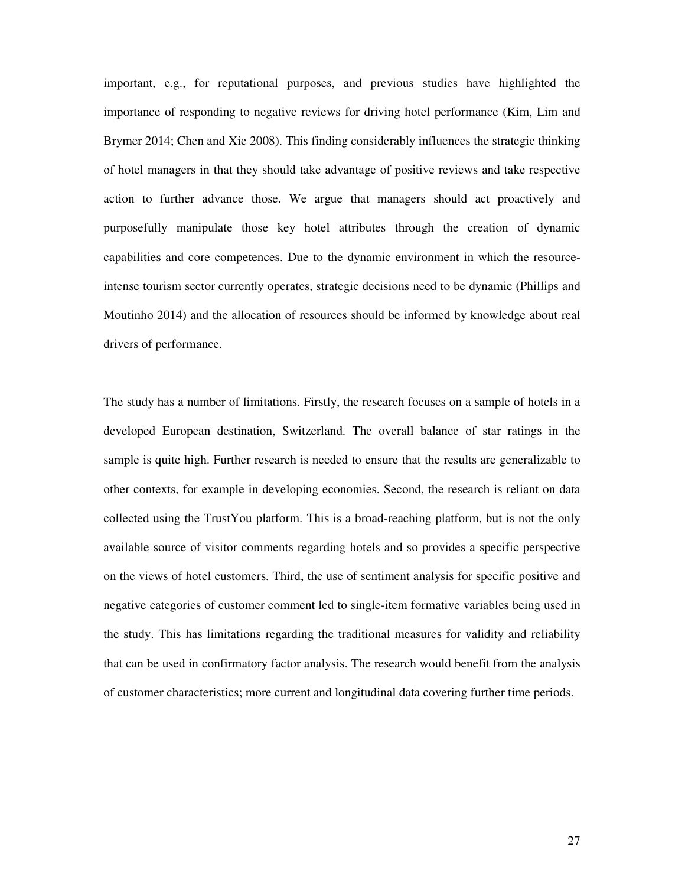important, e.g., for reputational purposes, and previous studies have highlighted the importance of responding to negative reviews for driving hotel performance (Kim, Lim and Brymer 2014; Chen and Xie 2008). This finding considerably influences the strategic thinking of hotel managers in that they should take advantage of positive reviews and take respective action to further advance those. We argue that managers should act proactively and purposefully manipulate those key hotel attributes through the creation of dynamic capabilities and core competences. Due to the dynamic environment in which the resourceintense tourism sector currently operates, strategic decisions need to be dynamic (Phillips and Moutinho 2014) and the allocation of resources should be informed by knowledge about real drivers of performance.

The study has a number of limitations. Firstly, the research focuses on a sample of hotels in a developed European destination, Switzerland. The overall balance of star ratings in the sample is quite high. Further research is needed to ensure that the results are generalizable to other contexts, for example in developing economies. Second, the research is reliant on data collected using the TrustYou platform. This is a broad-reaching platform, but is not the only available source of visitor comments regarding hotels and so provides a specific perspective on the views of hotel customers. Third, the use of sentiment analysis for specific positive and negative categories of customer comment led to single-item formative variables being used in the study. This has limitations regarding the traditional measures for validity and reliability that can be used in confirmatory factor analysis. The research would benefit from the analysis of customer characteristics; more current and longitudinal data covering further time periods.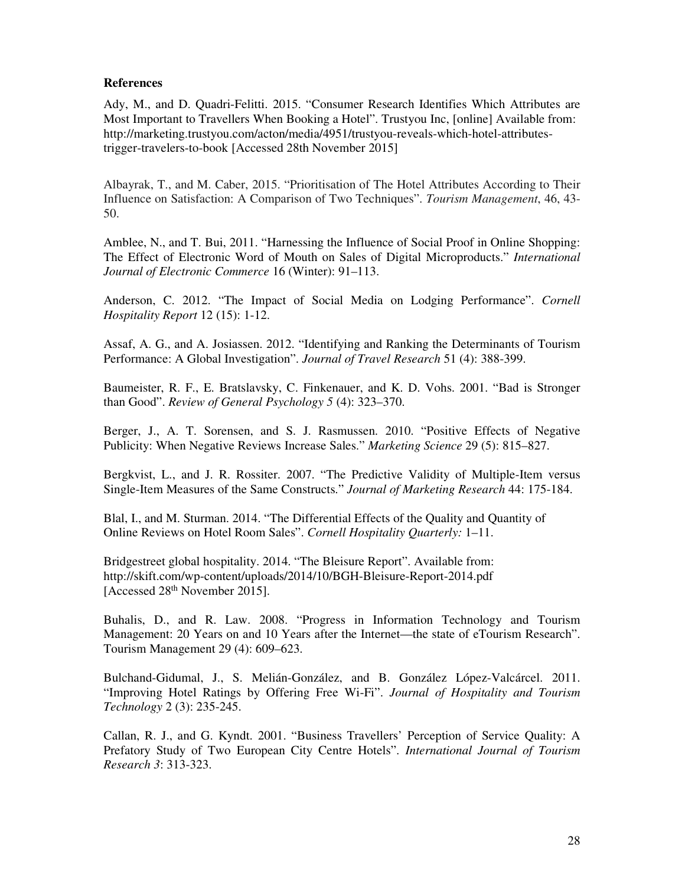### **References**

Ady, M., and D. Quadri-Felitti. 2015. "Consumer Research Identifies Which Attributes are Most Important to Travellers When Booking a Hotel". Trustyou Inc, [online] Available from: http://marketing.trustyou.com/acton/media/4951/trustyou-reveals-which-hotel-attributestrigger-travelers-to-book [Accessed 28th November 2015]

Albayrak, T., and M. Caber, 2015. "Prioritisation of The Hotel Attributes According to Their Influence on Satisfaction: A Comparison of Two Techniques". *Tourism Management*, 46, 43- 50.

Amblee, N., and T. Bui, 2011. "Harnessing the Influence of Social Proof in Online Shopping: The Effect of Electronic Word of Mouth on Sales of Digital Microproducts." *International Journal of Electronic Commerce* 16 (Winter): 91–113.

Anderson, C. 2012. "The Impact of Social Media on Lodging Performance". *Cornell Hospitality Report* 12 (15): 1-12.

Assaf, A. G., and A. Josiassen. 2012. "Identifying and Ranking the Determinants of Tourism Performance: A Global Investigation". *Journal of Travel Research* 51 (4): 388-399.

Baumeister, R. F., E. Bratslavsky, C. Finkenauer, and K. D. Vohs. 2001. "Bad is Stronger than Good". *Review of General Psychology 5* (4): 323–370.

Berger, J., A. T. Sorensen, and S. J. Rasmussen. 2010. "Positive Effects of Negative Publicity: When Negative Reviews Increase Sales." *Marketing Science* 29 (5): 815–827.

Bergkvist, L., and J. R. Rossiter. 2007. "The Predictive Validity of Multiple-Item versus Single-Item Measures of the Same Constructs." *Journal of Marketing Research* 44: 175-184.

Blal, I., and M. Sturman. 2014. "The Differential Effects of the Quality and Quantity of Online Reviews on Hotel Room Sales". *Cornell Hospitality Quarterly:* 1–11.

Bridgestreet global hospitality. 2014. "The Bleisure Report". Available from: http://skift.com/wp-content/uploads/2014/10/BGH-Bleisure-Report-2014.pdf [Accessed 28<sup>th</sup> November 2015].

Buhalis, D., and R. Law. 2008. "Progress in Information Technology and Tourism Management: 20 Years on and 10 Years after the Internet—the state of eTourism Research". Tourism Management 29 (4): 609–623.

Bulchand-Gidumal, J., S. Melián-González, and B. González López-Valcárcel. 2011. "Improving Hotel Ratings by Offering Free Wi-Fi". *Journal of Hospitality and Tourism Technology* 2 (3): 235-245.

Callan, R. J., and G. Kyndt. 2001. "Business Travellers' Perception of Service Quality: A Prefatory Study of Two European City Centre Hotels". *International Journal of Tourism Research 3*: 313-323.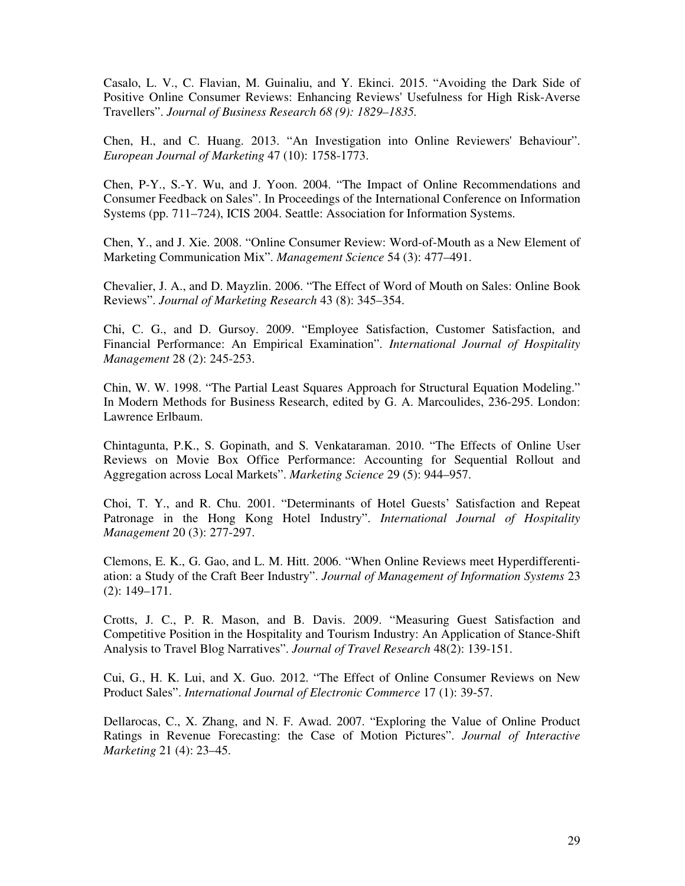Casalo, L. V., C. Flavian, M. Guinaliu, and Y. Ekinci. 2015. "Avoiding the Dark Side of Positive Online Consumer Reviews: Enhancing Reviews' Usefulness for High Risk-Averse Travellers". *Journal of Business Research 68 (9): 1829–1835.*

Chen, H., and C. Huang. 2013. "An Investigation into Online Reviewers' Behaviour". *European Journal of Marketing* 47 (10): 1758-1773.

Chen, P-Y., S.-Y. Wu, and J. Yoon. 2004. "The Impact of Online Recommendations and Consumer Feedback on Sales". In Proceedings of the International Conference on Information Systems (pp. 711–724), ICIS 2004. Seattle: Association for Information Systems.

Chen, Y., and J. Xie. 2008. "Online Consumer Review: Word-of-Mouth as a New Element of Marketing Communication Mix". *Management Science* 54 (3): 477–491.

Chevalier, J. A., and D. Mayzlin. 2006. "The Effect of Word of Mouth on Sales: Online Book Reviews". *Journal of Marketing Research* 43 (8): 345–354.

Chi, C. G., and D. Gursoy. 2009. "Employee Satisfaction, Customer Satisfaction, and Financial Performance: An Empirical Examination". *International Journal of Hospitality Management* 28 (2): 245-253.

Chin, W. W. 1998. "The Partial Least Squares Approach for Structural Equation Modeling." In Modern Methods for Business Research, edited by G. A. Marcoulides, 236-295. London: Lawrence Erlbaum.

Chintagunta, P.K., S. Gopinath, and S. Venkataraman. 2010. "The Effects of Online User Reviews on Movie Box Office Performance: Accounting for Sequential Rollout and Aggregation across Local Markets". *Marketing Science* 29 (5): 944–957.

Choi, T. Y., and R. Chu. 2001. "Determinants of Hotel Guests' Satisfaction and Repeat Patronage in the Hong Kong Hotel Industry". *International Journal of Hospitality Management* 20 (3): 277-297.

Clemons, E. K., G. Gao, and L. M. Hitt. 2006. "When Online Reviews meet Hyperdifferentiation: a Study of the Craft Beer Industry". *Journal of Management of Information Systems* 23 (2): 149–171.

Crotts, J. C., P. R. Mason, and B. Davis. 2009. "Measuring Guest Satisfaction and Competitive Position in the Hospitality and Tourism Industry: An Application of Stance-Shift Analysis to Travel Blog Narratives". *Journal of Travel Research* 48(2): 139-151.

Cui, G., H. K. Lui, and X. Guo. 2012. "The Effect of Online Consumer Reviews on New Product Sales". *International Journal of Electronic Commerce* 17 (1): 39-57.

Dellarocas, C., X. Zhang, and N. F. Awad. 2007. "Exploring the Value of Online Product Ratings in Revenue Forecasting: the Case of Motion Pictures". *Journal of Interactive Marketing* 21 (4): 23–45.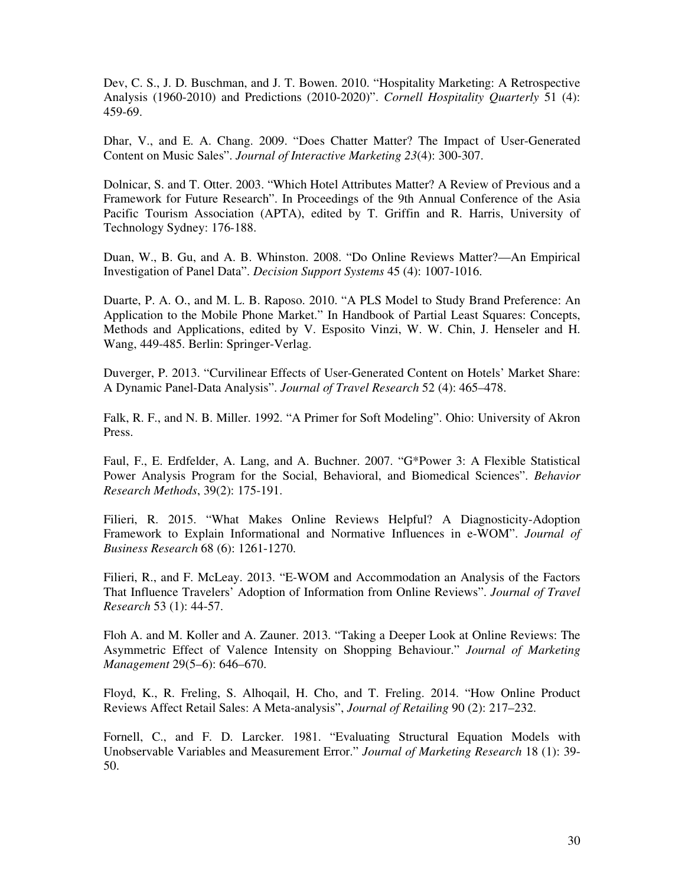Dev, C. S., J. D. Buschman, and J. T. Bowen. 2010. "Hospitality Marketing: A Retrospective Analysis (1960-2010) and Predictions (2010-2020)". *Cornell Hospitality Quarterly* 51 (4): 459-69.

Dhar, V., and E. A. Chang. 2009. "Does Chatter Matter? The Impact of User-Generated Content on Music Sales". *Journal of Interactive Marketing 23*(4): 300-307.

Dolnicar, S. and T. Otter. 2003. "Which Hotel Attributes Matter? A Review of Previous and a Framework for Future Research". In Proceedings of the 9th Annual Conference of the Asia Pacific Tourism Association (APTA), edited by T. Griffin and R. Harris, University of Technology Sydney: 176-188.

Duan, W., B. Gu, and A. B. Whinston. 2008. "Do Online Reviews Matter?—An Empirical Investigation of Panel Data". *Decision Support Systems* 45 (4): 1007-1016.

Duarte, P. A. O., and M. L. B. Raposo. 2010. "A PLS Model to Study Brand Preference: An Application to the Mobile Phone Market." In Handbook of Partial Least Squares: Concepts, Methods and Applications, edited by V. Esposito Vinzi, W. W. Chin, J. Henseler and H. Wang, 449-485. Berlin: Springer-Verlag.

Duverger, P. 2013. "Curvilinear Effects of User-Generated Content on Hotels' Market Share: A Dynamic Panel-Data Analysis". *Journal of Travel Research* 52 (4): 465–478.

Falk, R. F., and N. B. Miller. 1992. "A Primer for Soft Modeling". Ohio: University of Akron Press.

Faul, F., E. Erdfelder, A. Lang, and A. Buchner. 2007. "G\*Power 3: A Flexible Statistical Power Analysis Program for the Social, Behavioral, and Biomedical Sciences". *Behavior Research Methods*, 39(2): 175-191.

Filieri, R. 2015. "What Makes Online Reviews Helpful? A Diagnosticity-Adoption Framework to Explain Informational and Normative Influences in e-WOM". *Journal of Business Research* 68 (6): 1261-1270.

Filieri, R., and F. McLeay. 2013. "E-WOM and Accommodation an Analysis of the Factors That Influence Travelers' Adoption of Information from Online Reviews". *Journal of Travel Research* 53 (1): 44-57.

Floh A. and M. Koller and A. Zauner. 2013. "Taking a Deeper Look at Online Reviews: The Asymmetric Effect of Valence Intensity on Shopping Behaviour." *Journal of Marketing Management* 29(5–6): 646–670.

Floyd, K., R. Freling, S. Alhoqail, H. Cho, and T. Freling. 2014. "How Online Product Reviews Affect Retail Sales: A Meta-analysis", *Journal of Retailing* 90 (2): 217–232.

Fornell, C., and F. D. Larcker. 1981. "Evaluating Structural Equation Models with Unobservable Variables and Measurement Error." *Journal of Marketing Research* 18 (1): 39- 50.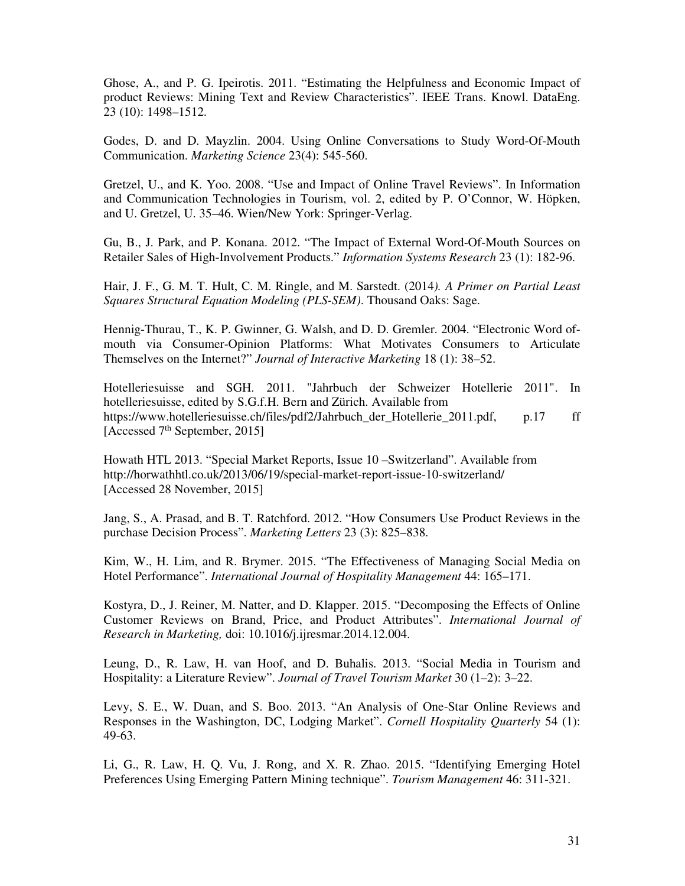Ghose, A., and P. G. Ipeirotis. 2011. "Estimating the Helpfulness and Economic Impact of product Reviews: Mining Text and Review Characteristics". IEEE Trans. Knowl. DataEng. 23 (10): 1498–1512.

Godes, D. and D. Mayzlin. 2004. Using Online Conversations to Study Word-Of-Mouth Communication. *Marketing Science* 23(4): 545-560.

Gretzel, U., and K. Yoo. 2008. "Use and Impact of Online Travel Reviews". In Information and Communication Technologies in Tourism, vol. 2, edited by P. O'Connor, W. Höpken, and U. Gretzel, U. 35–46. Wien/New York: Springer-Verlag.

Gu, B., J. Park, and P. Konana. 2012. "The Impact of External Word-Of-Mouth Sources on Retailer Sales of High-Involvement Products." *Information Systems Research* 23 (1): 182-96.

Hair, J. F., G. M. T. Hult, C. M. Ringle, and M. Sarstedt. (2014*). A Primer on Partial Least Squares Structural Equation Modeling (PLS-SEM)*. Thousand Oaks: Sage.

Hennig-Thurau, T., K. P. Gwinner, G. Walsh, and D. D. Gremler. 2004. "Electronic Word ofmouth via Consumer-Opinion Platforms: What Motivates Consumers to Articulate Themselves on the Internet?" *Journal of Interactive Marketing* 18 (1): 38–52.

Hotelleriesuisse and SGH. 2011. "Jahrbuch der Schweizer Hotellerie 2011". In hotelleriesuisse, edited by S.G.f.H. Bern and Zürich. Available from https://www.hotelleriesuisse.ch/files/pdf2/Jahrbuch\_der\_Hotellerie\_2011.pdf, p.17 ff [Accessed 7<sup>th</sup> September, 2015]

Howath HTL 2013. "Special Market Reports, Issue 10 –Switzerland". Available from http://horwathhtl.co.uk/2013/06/19/special-market-report-issue-10-switzerland/ [Accessed 28 November, 2015]

Jang, S., A. Prasad, and B. T. Ratchford. 2012. "How Consumers Use Product Reviews in the purchase Decision Process". *Marketing Letters* 23 (3): 825–838.

Kim, W., H. Lim, and R. Brymer. 2015. "The Effectiveness of Managing Social Media on Hotel Performance". *International Journal of Hospitality Management* 44: 165–171.

Kostyra, D., J. Reiner, M. Natter, and D. Klapper. 2015. "Decomposing the Effects of Online Customer Reviews on Brand, Price, and Product Attributes". *International Journal of Research in Marketing,* doi: 10.1016/j.ijresmar.2014.12.004.

Leung, D., R. Law, H. van Hoof, and D. Buhalis. 2013. "Social Media in Tourism and Hospitality: a Literature Review". *Journal of Travel Tourism Market* 30 (1–2): 3–22.

Levy, S. E., W. Duan, and S. Boo. 2013. "An Analysis of One-Star Online Reviews and Responses in the Washington, DC, Lodging Market". *Cornell Hospitality Quarterly* 54 (1): 49-63.

Li, G., R. Law, H. Q. Vu, J. Rong, and X. R. Zhao. 2015. "Identifying Emerging Hotel Preferences Using Emerging Pattern Mining technique". *Tourism Management* 46: 311-321.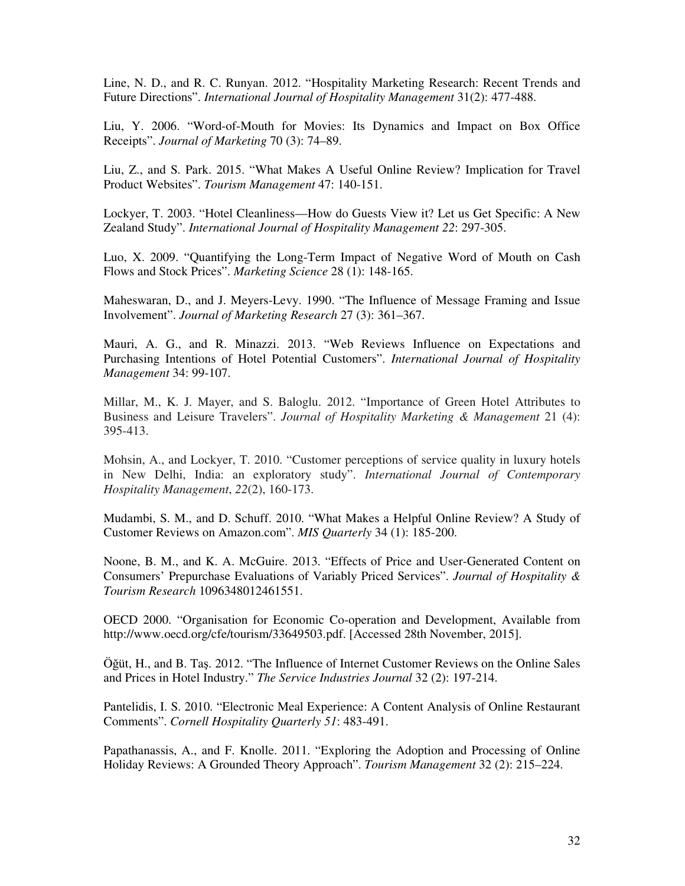Line, N. D., and R. C. Runyan. 2012. "Hospitality Marketing Research: Recent Trends and Future Directions". *International Journal of Hospitality Management* 31(2): 477-488.

Liu, Y. 2006. "Word-of-Mouth for Movies: Its Dynamics and Impact on Box Office Receipts". *Journal of Marketing* 70 (3): 74–89.

Liu, Z., and S. Park. 2015. "What Makes A Useful Online Review? Implication for Travel Product Websites". *Tourism Management* 47: 140-151.

Lockyer, T. 2003. "Hotel Cleanliness—How do Guests View it? Let us Get Specific: A New Zealand Study". *International Journal of Hospitality Management 22*: 297-305.

Luo, X. 2009. "Quantifying the Long-Term Impact of Negative Word of Mouth on Cash Flows and Stock Prices". *Marketing Science* 28 (1): 148-165.

Maheswaran, D., and J. Meyers-Levy. 1990. "The Influence of Message Framing and Issue Involvement". *Journal of Marketing Research* 27 (3): 361–367.

Mauri, A. G., and R. Minazzi. 2013. "Web Reviews Influence on Expectations and Purchasing Intentions of Hotel Potential Customers". *International Journal of Hospitality Management* 34: 99-107.

Millar, M., K. J. Mayer, and S. Baloglu. 2012. "Importance of Green Hotel Attributes to Business and Leisure Travelers". *Journal of Hospitality Marketing & Management* 21 (4): 395-413.

Mohsin, A., and Lockyer, T. 2010. "Customer perceptions of service quality in luxury hotels in New Delhi, India: an exploratory study". *International Journal of Contemporary Hospitality Management*, *22*(2), 160-173.

Mudambi, S. M., and D. Schuff. 2010. "What Makes a Helpful Online Review? A Study of Customer Reviews on Amazon.com". *MIS Quarterly* 34 (1): 185-200.

Noone, B. M., and K. A. McGuire. 2013. "Effects of Price and User-Generated Content on Consumers' Prepurchase Evaluations of Variably Priced Services". *Journal of Hospitality & Tourism Research* 1096348012461551.

OECD 2000. "Organisation for Economic Co-operation and Development, Available from http://www.oecd.org/cfe/tourism/33649503.pdf. [Accessed 28th November, 2015].

Öğüt, H., and B. Taş. 2012. "The Influence of Internet Customer Reviews on the Online Sales and Prices in Hotel Industry." *The Service Industries Journal* 32 (2): 197-214.

Pantelidis, I. S. 2010. "Electronic Meal Experience: A Content Analysis of Online Restaurant Comments". *Cornell Hospitality Quarterly 51*: 483-491.

Papathanassis, A., and F. Knolle. 2011. "Exploring the Adoption and Processing of Online Holiday Reviews: A Grounded Theory Approach". *Tourism Management* 32 (2): 215–224.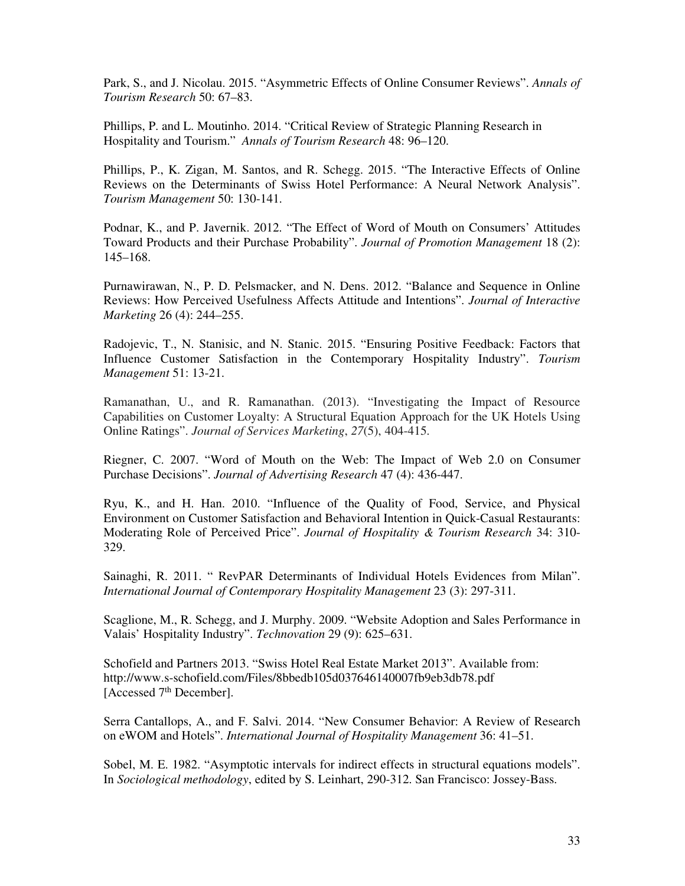Park, S., and J. Nicolau. 2015. "Asymmetric Effects of Online Consumer Reviews". *Annals of Tourism Research* 50: 67–83.

Phillips, P. and L. Moutinho. 2014. "Critical Review of Strategic Planning Research in Hospitality and Tourism." *Annals of Tourism Research* 48: 96–120.

Phillips, P., K. Zigan, M. Santos, and R. Schegg. 2015. "The Interactive Effects of Online Reviews on the Determinants of Swiss Hotel Performance: A Neural Network Analysis". *Tourism Management* 50: 130-141.

Podnar, K., and P. Javernik. 2012. "The Effect of Word of Mouth on Consumers' Attitudes Toward Products and their Purchase Probability". *Journal of Promotion Management* 18 (2): 145–168.

Purnawirawan, N., P. D. Pelsmacker, and N. Dens. 2012. "Balance and Sequence in Online Reviews: How Perceived Usefulness Affects Attitude and Intentions". *Journal of Interactive Marketing* 26 (4): 244–255.

Radojevic, T., N. Stanisic, and N. Stanic. 2015. "Ensuring Positive Feedback: Factors that Influence Customer Satisfaction in the Contemporary Hospitality Industry". *Tourism Management* 51: 13-21.

Ramanathan, U., and R. Ramanathan. (2013). "Investigating the Impact of Resource Capabilities on Customer Loyalty: A Structural Equation Approach for the UK Hotels Using Online Ratings". *Journal of Services Marketing*, *27*(5), 404-415.

Riegner, C. 2007. "Word of Mouth on the Web: The Impact of Web 2.0 on Consumer Purchase Decisions". *Journal of Advertising Research* 47 (4): 436-447.

Ryu, K., and H. Han. 2010. "Influence of the Quality of Food, Service, and Physical Environment on Customer Satisfaction and Behavioral Intention in Quick-Casual Restaurants: Moderating Role of Perceived Price". *Journal of Hospitality & Tourism Research* 34: 310- 329.

Sainaghi, R. 2011. " RevPAR Determinants of Individual Hotels Evidences from Milan". *International Journal of Contemporary Hospitality Management* 23 (3): 297-311.

Scaglione, M., R. Schegg, and J. Murphy. 2009. "Website Adoption and Sales Performance in Valais' Hospitality Industry". *Technovation* 29 (9): 625–631.

Schofield and Partners 2013. "Swiss Hotel Real Estate Market 2013". Available from: http://www.s-schofield.com/Files/8bbedb105d037646140007fb9eb3db78.pdf [Accessed 7<sup>th</sup> December].

Serra Cantallops, A., and F. Salvi. 2014. "New Consumer Behavior: A Review of Research on eWOM and Hotels". *International Journal of Hospitality Management* 36: 41–51.

Sobel, M. E. 1982. "Asymptotic intervals for indirect effects in structural equations models". In *Sociological methodology*, edited by S. Leinhart, 290-312. San Francisco: Jossey-Bass.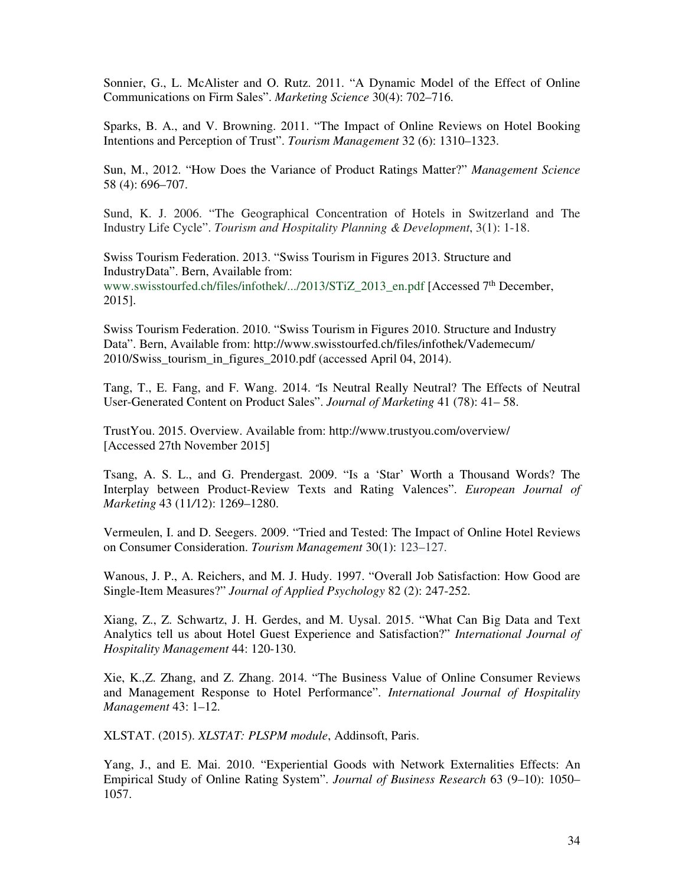Sonnier, G., L. McAlister and O. Rutz. 2011. "A Dynamic Model of the Effect of Online Communications on Firm Sales". *Marketing Science* 30(4): 702–716.

Sparks, B. A., and V. Browning. 2011. "The Impact of Online Reviews on Hotel Booking Intentions and Perception of Trust". *Tourism Management* 32 (6): 1310–1323.

Sun, M., 2012. "How Does the Variance of Product Ratings Matter?" *Management Science* 58 (4): 696–707.

Sund, K. J. 2006. "The Geographical Concentration of Hotels in Switzerland and The Industry Life Cycle". *Tourism and Hospitality Planning & Development*, 3(1): 1-18.

Swiss Tourism Federation. 2013. "Swiss Tourism in Figures 2013. Structure and IndustryData". Bern, Available from: www.swisstourfed.ch/files/infothek/.../2013/STiZ\_2013\_en.pdf [Accessed 7<sup>th</sup> December, 2015].

Swiss Tourism Federation. 2010. "Swiss Tourism in Figures 2010. Structure and Industry Data". Bern, Available from: http://www.swisstourfed.ch/files/infothek/Vademecum/ 2010/Swiss\_tourism\_in\_figures\_2010.pdf (accessed April 04, 2014).

Tang, T., E. Fang, and F. Wang. 2014. "Is Neutral Really Neutral? The Effects of Neutral User-Generated Content on Product Sales". *Journal of Marketing* 41 (78): 41– 58.

TrustYou. 2015. Overview. Available from: http://www.trustyou.com/overview/ [Accessed 27th November 2015]

Tsang, A. S. L., and G. Prendergast. 2009. "Is a 'Star' Worth a Thousand Words? The Interplay between Product-Review Texts and Rating Valences". *European Journal of Marketing* 43 (11*/*12): 1269–1280.

Vermeulen, I. and D. Seegers. 2009. "Tried and Tested: The Impact of Online Hotel Reviews on Consumer Consideration. *Tourism Management* 30(1): 123–127.

Wanous, J. P., A. Reichers, and M. J. Hudy. 1997. "Overall Job Satisfaction: How Good are Single-Item Measures?" *Journal of Applied Psychology* 82 (2): 247-252.

Xiang, Z., Z. Schwartz, J. H. Gerdes, and M. Uysal. 2015. "What Can Big Data and Text Analytics tell us about Hotel Guest Experience and Satisfaction?" *International Journal of Hospitality Management* 44: 120-130.

Xie, K.,Z. Zhang, and Z. Zhang. 2014. "The Business Value of Online Consumer Reviews and Management Response to Hotel Performance". *International Journal of Hospitality Management* 43: 1–12.

XLSTAT. (2015). *XLSTAT: PLSPM module*, Addinsoft, Paris.

Yang, J., and E. Mai. 2010. "Experiential Goods with Network Externalities Effects: An Empirical Study of Online Rating System". *Journal of Business Research* 63 (9–10): 1050– 1057.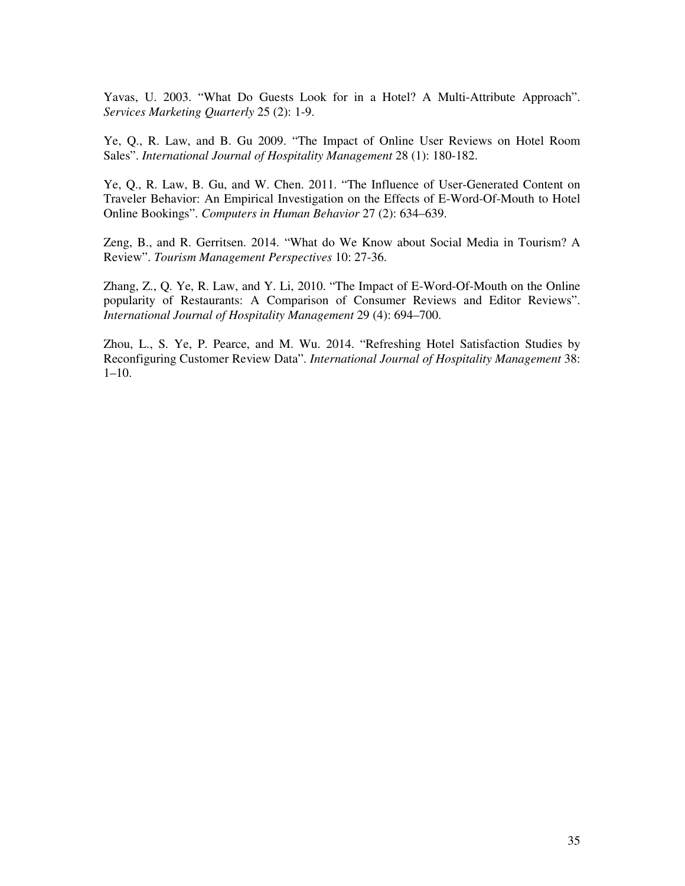Yavas, U. 2003. "What Do Guests Look for in a Hotel? A Multi-Attribute Approach". *Services Marketing Quarterly* 25 (2): 1-9.

Ye, Q., R. Law, and B. Gu 2009. "The Impact of Online User Reviews on Hotel Room Sales". *International Journal of Hospitality Management* 28 (1): 180-182.

Ye, Q., R. Law, B. Gu, and W. Chen. 2011. "The Influence of User-Generated Content on Traveler Behavior: An Empirical Investigation on the Effects of E-Word-Of-Mouth to Hotel Online Bookings". *Computers in Human Behavior* 27 (2): 634–639.

Zeng, B., and R. Gerritsen. 2014. "What do We Know about Social Media in Tourism? A Review". *Tourism Management Perspectives* 10: 27-36.

Zhang, Z., Q. Ye, R. Law, and Y. Li, 2010. "The Impact of E-Word-Of-Mouth on the Online popularity of Restaurants: A Comparison of Consumer Reviews and Editor Reviews". *International Journal of Hospitality Management* 29 (4): 694–700.

Zhou, L., S. Ye, P. Pearce, and M. Wu. 2014. "Refreshing Hotel Satisfaction Studies by Reconfiguring Customer Review Data". *International Journal of Hospitality Management* 38: 1–10.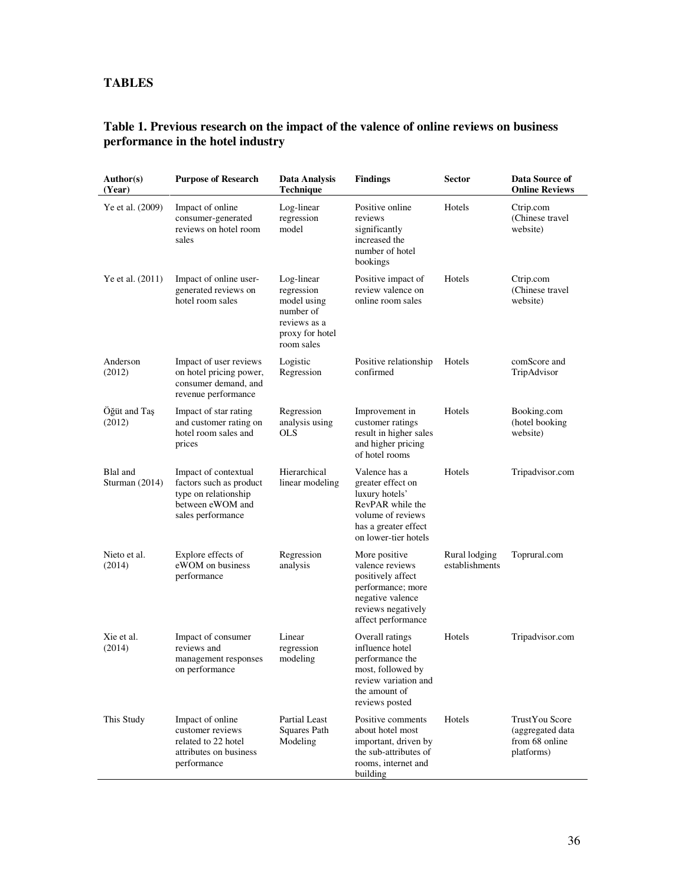# **TABLES**

### **Table 1. Previous research on the impact of the valence of online reviews on business performance in the hotel industry**

| Author(s)<br>(Year)        | <b>Purpose of Research</b>                                                                                       | Data Analysis<br><b>Technique</b>                                                                     | <b>Findings</b>                                                                                                                               | <b>Sector</b>                   | Data Source of<br><b>Online Reviews</b>                            |
|----------------------------|------------------------------------------------------------------------------------------------------------------|-------------------------------------------------------------------------------------------------------|-----------------------------------------------------------------------------------------------------------------------------------------------|---------------------------------|--------------------------------------------------------------------|
| Ye et al. (2009)           | Impact of online<br>consumer-generated<br>reviews on hotel room<br>sales                                         | Log-linear<br>regression<br>model                                                                     | Positive online<br>reviews<br>significantly<br>increased the<br>number of hotel<br>bookings                                                   | Hotels                          | Ctrip.com<br>(Chinese travel<br>website)                           |
| Ye et al. (2011)           | Impact of online user-<br>generated reviews on<br>hotel room sales                                               | Log-linear<br>regression<br>model using<br>number of<br>reviews as a<br>proxy for hotel<br>room sales | Positive impact of<br>review valence on<br>online room sales                                                                                  | Hotels                          | Ctrip.com<br>(Chinese travel<br>website)                           |
| Anderson<br>(2012)         | Impact of user reviews<br>on hotel pricing power,<br>consumer demand, and<br>revenue performance                 | Logistic<br>Regression                                                                                | Positive relationship<br>confirmed                                                                                                            | Hotels                          | comScore and<br>TripAdvisor                                        |
| Öğüt and Taş<br>(2012)     | Impact of star rating<br>and customer rating on<br>hotel room sales and<br>prices                                | Regression<br>analysis using<br>OLS                                                                   | Improvement in<br>customer ratings<br>result in higher sales<br>and higher pricing<br>of hotel rooms                                          | Hotels                          | Booking.com<br>(hotel booking<br>website)                          |
| Blal and<br>Sturman (2014) | Impact of contextual<br>factors such as product<br>type on relationship<br>between eWOM and<br>sales performance | Hierarchical<br>linear modeling                                                                       | Valence has a<br>greater effect on<br>luxury hotels'<br>RevPAR while the<br>volume of reviews<br>has a greater effect<br>on lower-tier hotels | Hotels                          | Tripadvisor.com                                                    |
| Nieto et al.<br>(2014)     | Explore effects of<br>eWOM on business<br>performance                                                            | Regression<br>analysis                                                                                | More positive<br>valence reviews<br>positively affect<br>performance; more<br>negative valence<br>reviews negatively<br>affect performance    | Rural lodging<br>establishments | Toprural.com                                                       |
| Xie et al.<br>(2014)       | Impact of consumer<br>reviews and<br>management responses<br>on performance                                      | Linear<br>regression<br>modeling                                                                      | Overall ratings<br>influence hotel<br>performance the<br>most, followed by<br>review variation and<br>the amount of<br>reviews posted         | Hotels                          | Tripadvisor.com                                                    |
| This Study                 | Impact of online<br>customer reviews<br>related to 22 hotel<br>attributes on business<br>performance             | Partial Least<br>Squares Path<br>Modeling                                                             | Positive comments<br>about hotel most<br>important, driven by<br>the sub-attributes of<br>rooms, internet and<br>building                     | Hotels                          | TrustYou Score<br>(aggregated data<br>from 68 online<br>platforms) |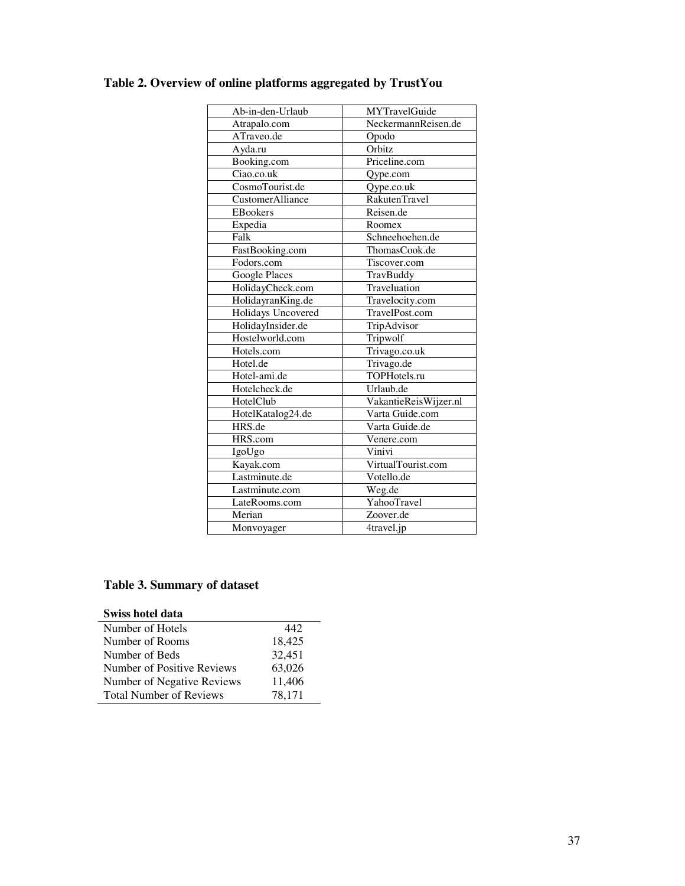| Ab-in-den-Urlaub   | MYTravelGuide         |
|--------------------|-----------------------|
| Atrapalo.com       | NeckermannReisen.de   |
| ATraveo.de         | Opodo                 |
| Ayda.ru            | Orbitz                |
| Booking.com        | Priceline.com         |
| Ciao.co.uk         | Qype.com              |
| CosmoTourist.de    | Qype.co.uk            |
| CustomerAlliance   | <b>RakutenTravel</b>  |
| <b>EBookers</b>    | Reisen.de             |
| Expedia            | Roomex                |
| Falk               | Schneehoehen.de       |
| FastBooking.com    | ThomasCook.de         |
| Fodors.com         | Tiscover.com          |
| Google Places      | TravBuddy             |
| HolidayCheck.com   | Traveluation          |
| HolidayranKing.de  | Travelocity.com       |
| Holidays Uncovered | TravelPost.com        |
| HolidayInsider.de  | TripAdvisor           |
| Hostelworld.com    | Tripwolf              |
| Hotels.com         | Trivago.co.uk         |
| Hotel.de           | Trivago.de            |
| Hotel-ami.de       | TOPHotels.ru          |
| Hotelcheck.de      | Urlaub.de             |
| HotelClub          | VakantieReisWijzer.nl |
| HotelKatalog24.de  | Varta Guide.com       |
| HRS.de             | Varta Guide.de        |
| HRS.com            | Venere.com            |
| IgoUgo             | Vinivi                |
| Kayak.com          | VirtualTourist.com    |
| Lastminute.de      | Votello.de            |
| Lastminute.com     | Weg.de                |
| LateRooms.com      | YahooTravel           |
| Merian             | Zoover.de             |
| Monvoyager         | 4travel.jp            |

# **Table 2. Overview of online platforms aggregated by TrustYou**

# **Table 3. Summary of dataset**

| Swiss hotel data               |        |
|--------------------------------|--------|
| Number of Hotels               | 442.   |
| Number of Rooms                | 18,425 |
| Number of Beds                 | 32,451 |
| Number of Positive Reviews     | 63,026 |
| Number of Negative Reviews     | 11,406 |
| <b>Total Number of Reviews</b> | 78,171 |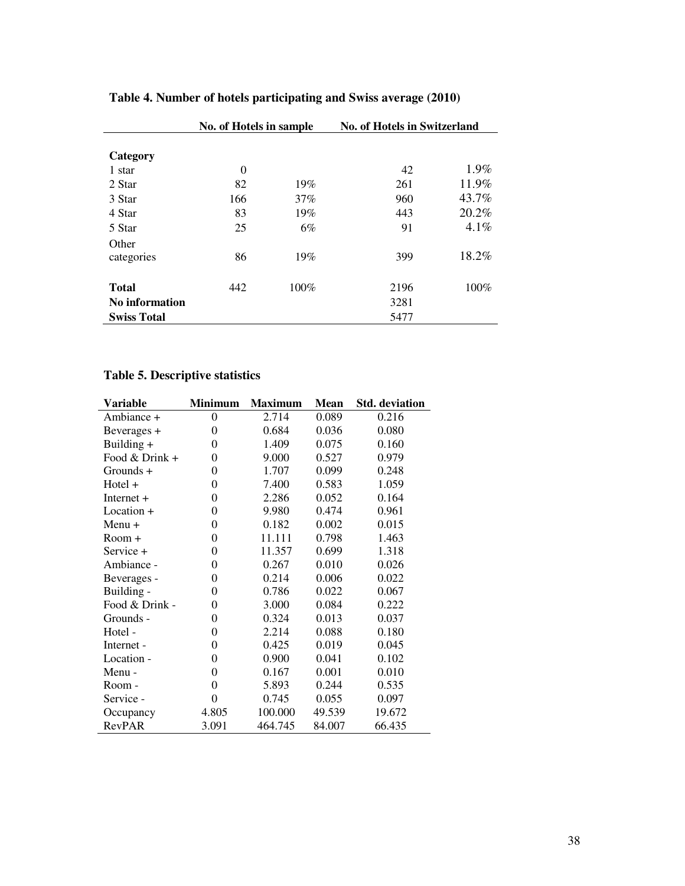|                       | No. of Hotels in sample |      | <b>No. of Hotels in Switzerland</b> |       |  |  |
|-----------------------|-------------------------|------|-------------------------------------|-------|--|--|
|                       |                         |      |                                     |       |  |  |
| Category              |                         |      |                                     |       |  |  |
| 1 star                | 0                       |      | 42                                  | 1.9%  |  |  |
| 2 Star                | 82                      | 19%  | 261                                 | 11.9% |  |  |
| 3 Star                | 166                     | 37%  | 960                                 | 43.7% |  |  |
| 4 Star                | 83                      | 19%  | 443                                 | 20.2% |  |  |
| 5 Star                | 25                      | 6%   | 91                                  | 4.1%  |  |  |
| Other                 |                         |      |                                     |       |  |  |
| categories            | 86                      | 19%  | 399                                 | 18.2% |  |  |
| <b>Total</b>          | 442                     | 100% | 2196                                | 100%  |  |  |
|                       |                         |      |                                     |       |  |  |
| <b>No information</b> |                         |      | 3281                                |       |  |  |
| <b>Swiss Total</b>    |                         |      | 5477                                |       |  |  |

# **Table 4. Number of hotels participating and Swiss average (2010)**

## **Table 5. Descriptive statistics**

| Variable       | <b>Minimum</b>   | <b>Maximum</b> | <b>Mean</b> | <b>Std.</b> deviation |
|----------------|------------------|----------------|-------------|-----------------------|
| Ambiance +     | $\overline{0}$   | 2.714          | 0.089       | 0.216                 |
| Beverages +    | $\theta$         | 0.684          | 0.036       | 0.080                 |
| Building +     | $\theta$         | 1.409          | 0.075       | 0.160                 |
| Food & Drink + | $\theta$         | 9.000          | 0.527       | 0.979                 |
| Grounds +      | $\theta$         | 1.707          | 0.099       | 0.248                 |
| Hotel +        | $\overline{0}$   | 7.400          | 0.583       | 1.059                 |
| Internet $+$   | $\theta$         | 2.286          | 0.052       | 0.164                 |
| Location +     | $\overline{0}$   | 9.980          | 0.474       | 0.961                 |
| Menu +         | $\theta$         | 0.182          | 0.002       | 0.015                 |
| Room +         | $\overline{0}$   | 11.111         | 0.798       | 1.463                 |
| Service +      | $\overline{0}$   | 11.357         | 0.699       | 1.318                 |
| Ambiance -     | $\overline{0}$   | 0.267          | 0.010       | 0.026                 |
| Beverages -    | $\overline{0}$   | 0.214          | 0.006       | 0.022                 |
| Building -     | $\overline{0}$   | 0.786          | 0.022       | 0.067                 |
| Food & Drink - | $\overline{0}$   | 3.000          | 0.084       | 0.222                 |
| Grounds -      | $\overline{0}$   | 0.324          | 0.013       | 0.037                 |
| Hotel -        | $\overline{0}$   | 2.214          | 0.088       | 0.180                 |
| Internet -     | $\overline{0}$   | 0.425          | 0.019       | 0.045                 |
| Location -     | $\overline{0}$   | 0.900          | 0.041       | 0.102                 |
| Menu -         | $\overline{0}$   | 0.167          | 0.001       | 0.010                 |
| Room -         | $\overline{0}$   | 5.893          | 0.244       | 0.535                 |
| Service -      | $\boldsymbol{0}$ | 0.745          | 0.055       | 0.097                 |
| Occupancy      | 4.805            | 100.000        | 49.539      | 19.672                |
| RevPAR         | 3.091            | 464.745        | 84.007      | 66.435                |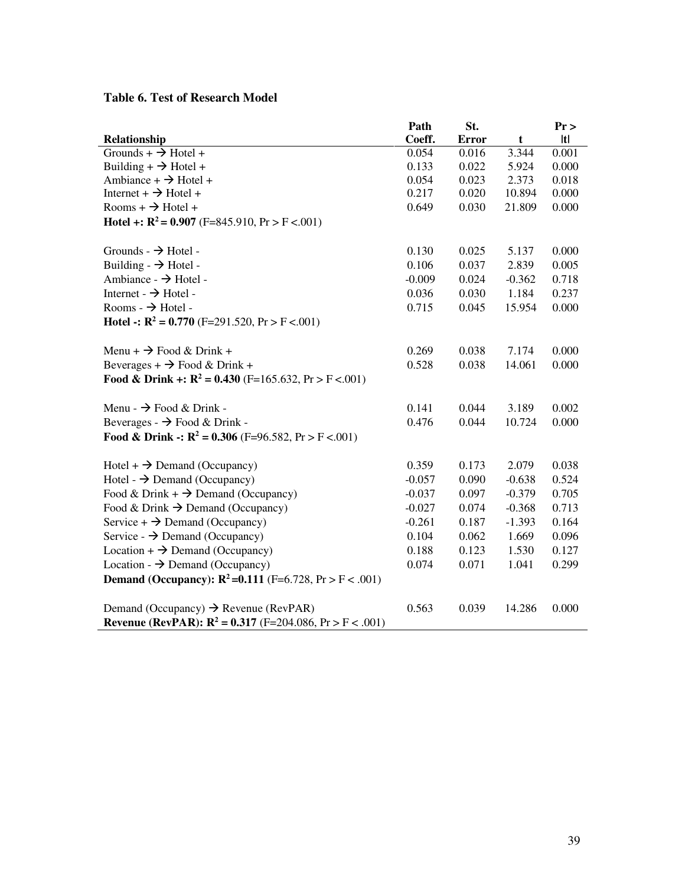## **Table 6. Test of Research Model**

|                                                                                                                                      | Path     | St.          |             | Pr    |
|--------------------------------------------------------------------------------------------------------------------------------------|----------|--------------|-------------|-------|
| Relationship                                                                                                                         | Coeff.   | <b>Error</b> | $\mathbf t$ | t     |
| Grounds + $\rightarrow$ Hotel +                                                                                                      | 0.054    | 0.016        | 3.344       | 0.001 |
| Building + $\rightarrow$ Hotel +                                                                                                     | 0.133    | 0.022        | 5.924       | 0.000 |
| Ambiance + $\rightarrow$ Hotel +                                                                                                     | 0.054    | 0.023        | 2.373       | 0.018 |
| Internet + $\rightarrow$ Hotel +                                                                                                     | 0.217    | 0.020        | 10.894      | 0.000 |
| Rooms + $\rightarrow$ Hotel +                                                                                                        | 0.649    | 0.030        | 21.809      | 0.000 |
| <b>Hotel +:</b> $R^2 = 0.907$ (F=845.910, Pr > F <.001)                                                                              |          |              |             |       |
| Grounds - $\rightarrow$ Hotel -                                                                                                      | 0.130    | 0.025        | 5.137       | 0.000 |
| Building $\rightarrow$ Hotel -                                                                                                       | 0.106    | 0.037        | 2.839       | 0.005 |
| Ambiance - $\rightarrow$ Hotel -                                                                                                     | $-0.009$ | 0.024        | $-0.362$    | 0.718 |
| Internet - $\rightarrow$ Hotel -                                                                                                     | 0.036    | 0.030        | 1.184       | 0.237 |
| Rooms $\rightarrow$ Hotel -                                                                                                          | 0.715    | 0.045        | 15.954      | 0.000 |
| <b>Hotel -: R<sup>2</sup> = 0.770</b> (F=291.520, Pr > F <.001)                                                                      |          |              |             |       |
| Menu + $\rightarrow$ Food & Drink +                                                                                                  | 0.269    | 0.038        | 7.174       | 0.000 |
| Beverages + $\rightarrow$ Food & Drink +                                                                                             | 0.528    | 0.038        | 14.061      | 0.000 |
| Food & Drink +: $R^2 = 0.430$ (F=165.632, Pr > F <.001)                                                                              |          |              |             |       |
| Menu - $\rightarrow$ Food & Drink -                                                                                                  | 0.141    | 0.044        | 3.189       | 0.002 |
| Beverages - $\rightarrow$ Food & Drink -                                                                                             | 0.476    | 0.044        | 10.724      | 0.000 |
| <b>Food &amp; Drink -: R<sup>2</sup> = 0.306</b> (F=96.582, Pr > F <.001)                                                            |          |              |             |       |
| $Hotel + \rightarrow Demand (Occupancy)$                                                                                             | 0.359    | 0.173        | 2.079       | 0.038 |
| Hotel - $\rightarrow$ Demand (Occupancy)                                                                                             | $-0.057$ | 0.090        | $-0.638$    | 0.524 |
| Food & Drink + $\rightarrow$ Demand (Occupancy)                                                                                      | $-0.037$ | 0.097        | $-0.379$    | 0.705 |
| Food & Drink $\rightarrow$ Demand (Occupancy)                                                                                        | $-0.027$ | 0.074        | $-0.368$    | 0.713 |
| Service + $\rightarrow$ Demand (Occupancy)                                                                                           | $-0.261$ | 0.187        | $-1.393$    | 0.164 |
| Service - $\rightarrow$ Demand (Occupancy)                                                                                           | 0.104    | 0.062        | 1.669       | 0.096 |
| Location + $\rightarrow$ Demand (Occupancy)                                                                                          | 0.188    | 0.123        | 1.530       | 0.127 |
| Location - $\rightarrow$ Demand (Occupancy)                                                                                          | 0.074    | 0.071        | 1.041       | 0.299 |
| <b>Demand (Occupancy):</b> $R^2 = 0.111$ (F=6.728, Pr > F < .001)                                                                    |          |              |             |       |
| Demand (Occupancy) $\rightarrow$ Revenue (RevPAR)<br><b>Revenue (RevPAR): R<sup>2</sup> = 0.317 (F=204.086, Pr &gt; F &lt; .001)</b> | 0.563    | 0.039        | 14.286      | 0.000 |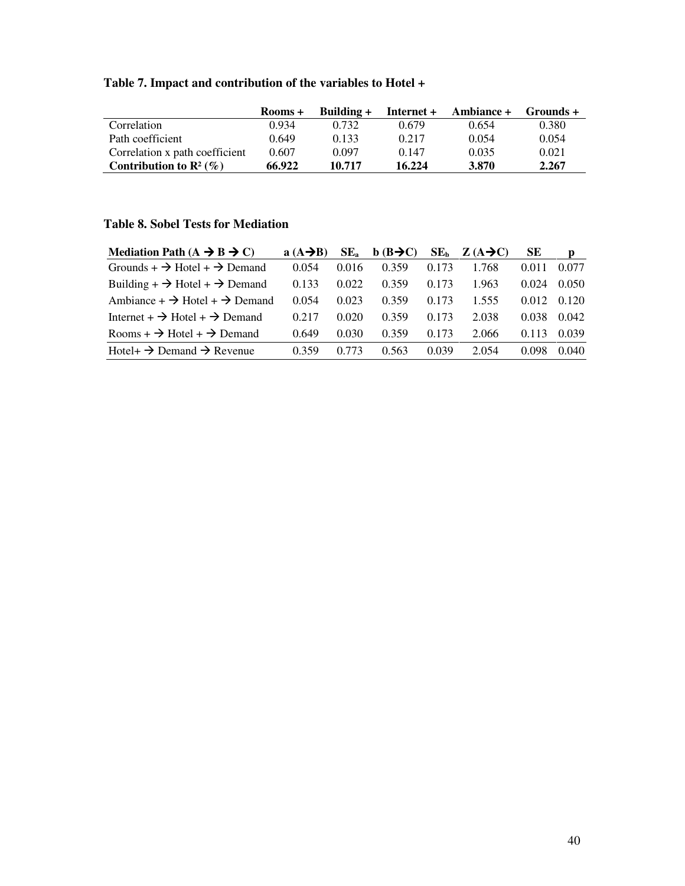# **Table 7. Impact and contribution of the variables to Hotel +**

|                                    | Rooms + | Building + | Internet + | <b>Ambiance +</b> | Grounds + |
|------------------------------------|---------|------------|------------|-------------------|-----------|
| Correlation                        | 0.934   | 0.732      | 0.679      | 0.654             | 0.380     |
| Path coefficient                   | 0.649   | 0.133      | 0.217      | 0.054             | 0.054     |
| Correlation x path coefficient     | 0.607   | 0.097      | 0.147      | 0.035             | 0.021     |
| Contribution to $\mathbb{R}^2$ (%) | 66.922  | 10.717     | 16.224     | 3.870             | 2.267     |

## **Table 8. Sobel Tests for Mediation**

| Mediation Path $(A \rightarrow B \rightarrow C)$      | $a(A \rightarrow B)$ | $SE_{a}$ | $b$ (B $\rightarrow$ C) | SE <sub>b</sub> | $Z(A\rightarrow C)$ | SЕ    | D     |
|-------------------------------------------------------|----------------------|----------|-------------------------|-----------------|---------------------|-------|-------|
| Grounds + $\rightarrow$ Hotel + $\rightarrow$ Demand  | 0.054                | 0.016    | 0.359                   | 0.173           | 1.768               | 0.011 | 0.077 |
| Building + $\rightarrow$ Hotel + $\rightarrow$ Demand | 0.133                | 0.022    | 0.359                   | 0.173           | 1.963               | 0.024 | 0.050 |
| Ambiance + $\rightarrow$ Hotel + $\rightarrow$ Demand | 0.054                | 0.023    | 0.359                   | 0.173           | 1.555               | 0.012 | 0.120 |
| Internet + $\rightarrow$ Hotel + $\rightarrow$ Demand | 0.217                | 0.020    | 0.359                   | 0.173           | 2.038               | 0.038 | 0.042 |
| Rooms + $\rightarrow$ Hotel + $\rightarrow$ Demand    | 0.649                | 0.030    | 0.359                   | 0.173           | 2.066               | 0.113 | 0.039 |
| Hotel+ $\rightarrow$ Demand $\rightarrow$ Revenue     | 0.359                | 0.773    | 0.563                   | 0.039           | 2.054               | 0.098 | 0.040 |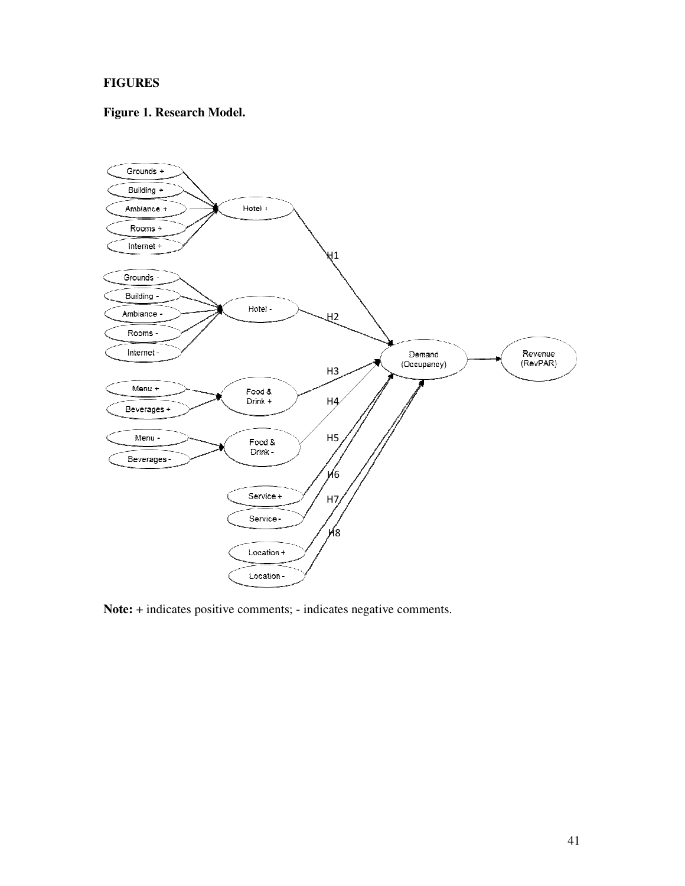## **FIGURES**

## **Figure 1. Research Model.**



**Note:** + indicates positive comments; - indicates negative comments.